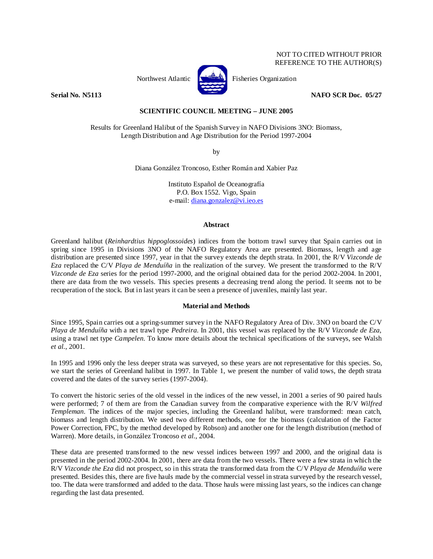# NOT TO CITED WITHOUT PRIOR REFERENCE TO THE AUTHOR(S)



Northwest Atlantic **Fisheries** Organization

**Serial No. N5113 NAFO SCR Doc. 05/27** 

# **SCIENTIFIC COUNCIL MEETING – JUNE 2005**

Results for Greenland Halibut of the Spanish Survey in NAFO Divisions 3NO: Biomass, Length Distribution and Age Distribution for the Period 1997-2004

by

Diana González Troncoso, Esther Román and Xabier Paz

Instituto Español de Oceanografía P.O. Box 1552. Vigo, Spain e-mail: diana.gonzalez@vi.ieo.es

#### **Abstract**

Greenland halibut (*Reinhardtius hippoglossoides*) indices from the bottom trawl survey that Spain carries out in spring since 1995 in Divisions 3NO of the NAFO Regulatory Area are presented. Biomass, length and age distribution are presented since 1997, year in that the survey extends the depth strata. In 2001, the R/V *Vizconde de Eza* replaced the C/V *Playa de Menduíña* in the realization of the survey. We present the transformed to the R/V *Vizconde de Eza* series for the period 1997-2000, and the original obtained data for the period 2002-2004. In 2001, there are data from the two vessels. This species presents a decreasing trend along the period. It seems not to be recuperation of the stock. But in last years it can be seen a presence of juveniles, mainly last year.

## **Material and Methods**

Since 1995, Spain carries out a spring-summer survey in the NAFO Regulatory Area of Div. 3NO on board the C/V *Playa de Menduíña* with a net trawl type *Pedreira*. In 2001, this vessel was replaced by the R/V *Vizconde de Eza*, using a trawl net type *Campelen*. To know more details about the technical specifications of the surveys, see Walsh *et al.*, 2001.

In 1995 and 1996 only the less deeper strata was surveyed, so these years are not representative for this species. So, we start the series of Greenland halibut in 1997. In Table 1, we present the number of valid tows, the depth strata covered and the dates of the survey series (1997-2004).

To convert the historic series of the old vessel in the indices of the new vessel, in 2001 a series of 90 paired hauls were performed; 7 of them are from the Canadian survey from the comparative experience with the R/V *Wilfred Templeman*. The indices of the major species, including the Greenland halibut, were transformed: mean catch, biomass and length distribution. We used two different methods, one for the biomass (calculation of the Factor Power Correction, FPC, by the method developed by Robson) and another one for the length distribution (method of Warren). More details, in González Troncoso *et al.*, 2004.

These data are presented transformed to the new vessel indices between 1997 and 2000, and the original data is presented in the period 2002-2004. In 2001, there are data from the two vessels. There were a few strata in which the R/V *Vizconde the Eza* did not prospect, so in this strata the transformed data from the C/V *Playa de Menduíña* were presented. Besides this, there are five hauls made by the commercial vessel in strata surveyed by the research vessel, too. The data were transformed and added to the data. Those hauls were missing last years, so the indices can change regarding the last data presented.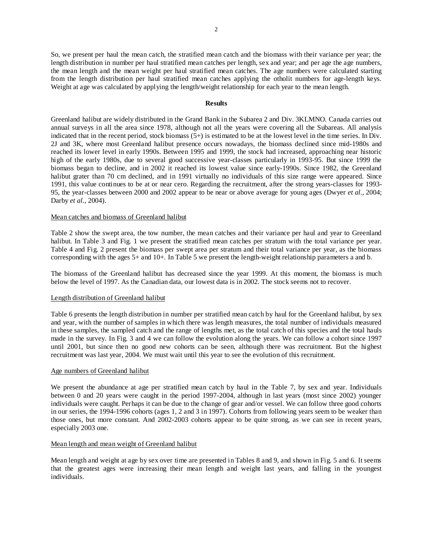So, we present per haul the mean catch, the stratified mean catch and the biomass with their variance per year; the length distribution in number per haul stratified mean catches per length, sex and year; and per age the age numbers, the mean length and the mean weight per haul stratified mean catches. The age numbers were calculated starting from the length distribution per haul stratified mean catches applying the otholit numbers for age-length keys. Weight at age was calculated by applying the length/weight relationship for each year to the mean length.

### **Results**

Greenland halibut are widely distributed in the Grand Bank in the Subarea 2 and Div. 3KLMNO. Canada carries out annual surveys in all the area since 1978, although not all the years were covering all the Subareas. All analysis indicated that in the recent period, stock biomass  $(5+)$  is estimated to be at the lowest level in the time series. In Div. 2J and 3K, where most Greenland halibut presence occurs nowadays, the biomass declined since mid-1980s and reached its lower level in early 1990s. Between 1995 and 1999, the stock had increased, approaching near historic high of the early 1980s, due to several good successive year-classes particularly in 1993-95. But since 1999 the biomass began to decline, and in 2002 it reached its lowest value since early-1990s. Since 1982, the Greenland halibut grater than 70 cm declined, and in 1991 virtually no individuals of this size range were appeared. Since 1991, this value continues to be at or near cero. Regarding the recruitment, after the strong years-classes for 1993- 95, the year-classes between 2000 and 2002 appear to be near or above average for young ages (Dwyer *et al.*, 2004; Darby *et al.*, 2004).

### Mean catches and biomass of Greenland halibut

Table 2 show the swept area, the tow number, the mean catches and their variance per haul and year to Greenland halibut. In Table 3 and Fig. 1 we present the stratified mean catches per stratum with the total variance per year. Table 4 and Fig. 2 present the biomass per swept area per stratum and their total variance per year, as the biomass corresponding with the ages 5+ and 10+. In Table 5 we present the length-weight relationship parameters a and b.

The biomass of the Greenland halibut has decreased since the year 1999. At this moment, the biomass is much below the level of 1997. As the Canadian data, our lowest data is in 2002. The stock seems not to recover.

### Length distribution of Greenland halibut

Table 6 presents the length distribution in number per stratified mean catch by haul for the Greenland halibut, by sex and year, with the number of samples in which there was length measures, the total number of individuals measured in these samples, the sampled catch and the range of lengths met, as the total catch of this species and the total hauls made in the survey. In Fig. 3 and 4 we can follow the evolution along the years. We can follow a cohort since 1997 until 2001, but since then no good new cohorts can be seen, although there was recruitment. But the highest recruitment was last year, 2004. We must wait until this year to see the evolution of this recruitment.

### Age numbers of Greenland halibut

We present the abundance at age per stratified mean catch by haul in the Table 7, by sex and year. Individuals between 0 and 20 years were caught in the period 1997-2004, although in last years (most since 2002) younger individuals were caught. Perhaps it can be due to the change of gear and/or vessel. We can follow three good cohorts in our series, the 1994-1996 cohorts (ages 1, 2 and 3 in 1997). Cohorts from following years seem to be weaker than those ones, but more constant. And 2002-2003 cohorts appear to be quite strong, as we can see in recent years, especially 2003 one.

### Mean length and mean weight of Greenland halibut

Mean length and weight at age by sex over time are presented in Tables 8 and 9, and shown in Fig. 5 and 6. It seems that the greatest ages were increasing their mean length and weight last years, and falling in the youngest individuals.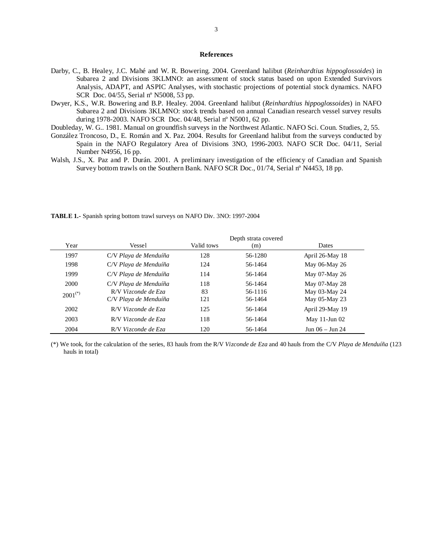### **References**

- Darby, C., B. Healey, J.C. Mahé and W. R. Bowering. 2004. Greenland halibut (*Reinhardtius hippoglossoides*) in Subarea 2 and Divisions 3KLMNO: an assessment of stock status based on upon Extended Survivors Analysis, ADAPT, and ASPIC Analyses, with stochastic projections of potential stock dynamics. NAFO SCR Doc. 04/55, Serial nº N5008, 53 pp.
- Dwyer, K.S., W.R. Bowering and B.P. Healey. 2004. Greenland halibut (*Reinhardtius hippoglossoides*) in NAFO Subarea 2 and Divisions 3KLMNO: stock trends based on annual Canadian research vessel survey results during 1978-2003. NAFO SCR Doc. 04/48, Serial nº N5001, 62 pp.
- Doubleday, W. G.. 1981. Manual on groundfish surveys in the Northwest Atlantic. NAFO Sci. Coun. Studies, 2, 55.
- González Troncoso, D., E. Román and X. Paz. 2004. Results for Greenland halibut from the surveys conducted by Spain in the NAFO Regulatory Area of Divisions 3NO, 1996-2003. NAFO SCR Doc. 04/11, Serial Number N4956, 16 pp.
- Walsh, J.S., X. Paz and P. Durán. 2001. A preliminary investigation of the efficiency of Canadian and Spanish Survey bottom trawls on the Southern Bank. NAFO SCR Doc., 01/74, Serial nº N4453, 18 pp.

|              |                                              |            | Depth strata covered |                                |
|--------------|----------------------------------------------|------------|----------------------|--------------------------------|
| Year         | Vessel                                       | Valid tows | (m)                  | Dates                          |
| 1997         | C/V Playa de Menduíña                        | 128        | 56-1280              | April 26-May 18                |
| 1998         | C/V Playa de Menduíña                        | 124        | 56-1464              | May 06-May 26                  |
| 1999         | C/V Playa de Menduíña                        | 114        | 56-1464              | May 07-May 26                  |
| 2000         | C/V Playa de Menduíña                        | 118        | 56-1464              | May 07-May 28                  |
| $2001^{(*)}$ | R/V Vizconde de Eza<br>C/V Playa de Menduíña | 83<br>121  | 56-1116<br>56-1464   | May 03-May 24<br>May 05-May 23 |
| 2002         | R/V Vizconde de Eza                          | 125        | 56-1464              | April 29-May 19                |
| 2003         | R/V Vizconde de Eza                          | 118        | 56-1464              | May 11-Jun 02                  |
| 2004         | R/V Vizconde de Eza                          | 120        | 56-1464              | Jun 06 – Jun 24                |

**TABLE 1.-** Spanish spring bottom trawl surveys on NAFO Div. 3NO: 1997-2004

(\*) We took, for the calculation of the series, 83 hauls from the R/V *Vizconde de Eza* and 40 hauls from the C/V *Playa de Menduíña* (123 hauls in total)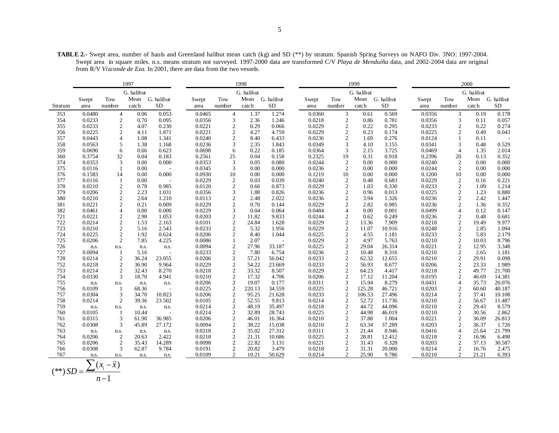**TABLE 2.-** Swept area, number of hauls and Greenland halibut mean catch (kg) and SD (\*\*) by stratum. Spanish Spring Surveys on NAFO Div. 3NO: 1997-2004. Swept area in square miles. n.s. means stratum not surveyed. 1997-2000 data are transformed C/V *Playa de Menduíña* data, and 2002-2004 data are original from R/V *Vizconde de Eza*. In 2001, there are data from the two vessels.

| G. halibut<br>G. halibut<br>G. halibut<br>G. halibut<br>Mean G. halibut<br>Mean<br>G. halibut<br>Mean G. halibut<br>Tow<br>Mean G. halibut<br>Tow<br>Tow<br>Tow<br>Swept<br>Swept<br>Swept<br>Swept<br><b>SD</b><br>${\rm SD}$<br>number<br><b>SD</b><br><b>SD</b><br>catch<br>number<br>catch<br>number<br>catch<br>number<br>catch<br>Stratum<br>area<br>area<br>area<br>area<br>0.0480<br>0.053<br>0.0465<br>1.37<br>1.274<br>0.0360<br>3<br>0.569<br>0.0356<br>3<br>0.178<br>353<br>$\overline{4}$<br>0.06<br>$\overline{4}$<br>0.61<br>0.19<br>0.0233<br>$\sqrt{2}$<br>0.095<br>0.0356<br>3<br>2.36<br>0.0218<br>$\sqrt{2}$<br>3<br>354<br>0.70<br>1.246<br>0.86<br>0.781<br>0.0356<br>0.11<br>0.057<br>$\sqrt{2}$<br>0.0233<br>0.230<br>0.0221<br>$\overline{2}$<br>0.0229<br>0.22<br>4.07<br>0.29<br>0.066<br>$\boldsymbol{2}$<br>0.22<br>0.295<br>0.0233<br>$\overline{c}$<br>0.274<br>355<br>0.0225<br>2<br>0.0221<br>$\overline{2}$<br>4.27<br>0.0229<br>$\overline{c}$<br>0.23<br>$\overline{2}$<br>356<br>4.11<br>1.871<br>4.759<br>0.174<br>0.0225<br>0.49<br>0.043<br>$\overline{4}$<br>0.0240<br>$\overline{2}$<br>0.0443<br>1.341<br>8.40<br>6.433<br>0.0236<br>$\overline{2}$<br>1.69<br>0.276<br>0.0124<br>357<br>1.08<br>0.11<br>0.0563<br>5<br>0.0236<br>3<br>1.843<br>0.0349<br>3.155<br>358<br>1.38<br>1.168<br>2.35<br>3<br>4.10<br>0.0341<br>3<br>0.48<br>0.529<br>0.0690<br>6<br>0.0364<br>3.725<br>6<br>0.623<br>0.0698<br>0.22<br>0.185<br>3<br>2.15<br>0.0469<br>$\overline{4}$<br>2.014<br>359<br>0.66<br>1.35<br>32<br>0.2325<br>0.3754<br>0.04<br>0.183<br>0.2561<br>25<br>0.04<br>0.158<br>19<br>0.31<br>0.918<br>0.2396<br>0.13<br>0.352<br>360<br>20<br>0.0353<br>3<br>0.000<br>0.0353<br>3<br>0.080<br>0.0244<br>2<br>0.000<br>0.0240<br>2<br>374<br>0.00<br>0.05<br>0.00<br>0.00<br>0.000<br>3<br>0.0236<br>2<br>0.0116<br>0.00<br>0.0345<br>0.00<br>0.000<br>$\overline{2}$<br>0.00<br>0.000<br>0.0244<br>0.00<br>0.000<br>375<br>1<br>0.000<br>0.0930<br>10<br>0.1219<br>10<br>376<br>0.1583<br>14<br>0.00<br>0.00<br>0.000<br>0.00<br>0.000<br>0.1200<br>10<br>0.00<br>0.000<br>0.0116<br>0.0229<br>$\overline{2}$<br>0.039<br>0.0240<br>$\overline{2}$<br>0.0229<br>2<br>0.221<br>377<br>0.00<br>0.03<br>0.48<br>0.683<br>0.16<br>-1<br>$\overline{2}$<br>0.0120<br>$\overline{2}$<br>0.0229<br>$\mathbf{2}$<br>0.0233<br>$\overline{2}$<br>378<br>0.0210<br>0.78<br>0.985<br>0.873<br>1.03<br>0.330<br>1.09<br>1.214<br>0.66<br>$\overline{2}$<br>0.0206<br>2.23<br>0.0356<br>3<br>0.826<br>0.0236<br>$\overline{2}$<br>0.0225<br>2<br>379<br>1.031<br>1.88<br>0.96<br>0.013<br>1.23<br>0.880<br>$\overline{c}$<br>$\overline{2}$<br>2.022<br>0.0236<br>0.0236<br>2<br>380<br>0.0210<br>2.64<br>1.210<br>0.0113<br>2.48<br>$\overline{c}$<br>3.94<br>1.326<br>2.42<br>1.447<br>$\overline{c}$<br>$\overline{2}$<br>0.0221<br>0.21<br>0.009<br>0.0229<br>0.144<br>0.0229<br>$\overline{2}$<br>2.82<br>0.985<br>0.0236<br>$\overline{c}$<br>1.36<br>0.352<br>381<br>0.70<br>3<br>0.0461<br>$\overline{4}$<br>0.00<br>0.000<br>0.0229<br>0.064<br>0.0484<br>0.00<br>0.001<br>0.0499<br>0.147<br>382<br>0.04<br>4<br>$\overline{4}$<br>0.12<br>$\mathbf{2}$<br>0.0221<br>2<br>2.98<br>0.0203<br>0.0244<br>0.249<br>0.0236<br>0.48<br>0.681<br>721<br>1.053<br>11.82<br>9.833<br>$\overline{2}$<br>0.62<br>2<br>$\overline{2}$<br>$\overline{2}$<br>$\overline{c}$<br>722<br>0.0214<br>1.53<br>2.163<br>0.0101<br>24.84<br>1.628<br>0.0229<br>$\overline{2}$<br>7.909<br>0.0218<br>9.977<br>13.36<br>19.49<br>$\overline{c}$<br>0.0233<br>$\overline{2}$<br>0.0229<br>$\boldsymbol{2}$<br>10.916<br>0.0248<br>2<br>723<br>0.0210<br>5.16<br>2.543<br>5.32<br>1.956<br>11.07<br>2.85<br>1.094<br>$\overline{c}$<br>$\overline{2}$<br>$\overline{c}$<br>$\overline{2}$<br>724<br>0.0225<br>0.624<br>0.0206<br>8.40<br>1.044<br>0.0225<br>1.181<br>0.0233<br>1.92<br>4.55<br>5.83<br>2.179<br>2<br>0.0229<br>$\mathbf{2}$<br>$\overline{2}$<br>0.0206<br>7.85<br>4.225<br>0.0086<br>2.07<br>4.97<br>5.763<br>0.0210<br>8.796<br>725<br>1<br>10.03<br>$\overline{a}$<br>0.0094<br>$\overline{c}$<br>0.0225<br>$\boldsymbol{2}$<br>26.314<br>0.0221<br>$\boldsymbol{2}$<br>3.348<br>726<br>27.96<br>33.187<br>29.04<br>12.95<br>n.s.<br>n.s.<br>n.s.<br>n.s.<br>0.0094<br>$\overline{2}$<br>0.0236<br>$\overline{c}$<br>$\overline{2}$<br>727<br>5.16<br>0.0233<br>7.80<br>10.48<br>8.316<br>0.0210<br>2.65<br>6.754<br>1.181<br>-1<br>$\overline{c}$<br>$\overline{2}$<br>0.0206<br>57.21<br>56.042<br>0.0233<br>$\overline{2}$<br>0.0210<br>2<br>29.91<br>0.098<br>728<br>0.0214<br>36.24<br>23.055<br>62.32<br>12.655<br>$\overline{c}$<br>$\overline{2}$<br>$\boldsymbol{2}$<br>$\mathfrak{2}$<br>0.0218<br>36.90<br>9.964<br>0.0229<br>54.22<br>23.669<br>0.0233<br>56.93<br>8.677<br>0.0206<br>23.33<br>1.989<br>752<br>$\sqrt{2}$<br>$\mathfrak{2}$<br>0.0218<br>0.0229<br>$\sqrt{2}$<br>$\sqrt{2}$<br>0.0214<br>8.270<br>33.32<br>8.507<br>64.23<br>4.417<br>0.0218<br>49.77<br>21.700<br>753<br>32.43<br>3<br>754<br>0.0330<br>18.70<br>4.941<br>0.0210<br>$\overline{2}$<br>17.32<br>4.706<br>0.0206<br>$\overline{2}$<br>17.12<br>11.204<br>0.0195<br>$\boldsymbol{2}$<br>46.69<br>14.381<br>$\overline{2}$<br>0.0311<br>8.279<br>0.0206<br>19.07<br>0.177<br>3<br>15.94<br>0.0431<br>$\overline{4}$<br>35.73<br>20.076<br>755<br>n.s.<br>n.s.<br>n.s.<br>n.s.<br>$\overline{2}$<br>0.0109<br>0.0225<br>34.559<br>0.0225<br>$\overline{2}$<br>125.28<br>46.721<br>0.0203<br>$\overline{2}$<br>60.60<br>40.187<br>756<br>68.36<br>220.13<br>-1<br>$\sqrt{2}$<br>3<br>0.0206<br>$\mathbf{2}$<br>21.628<br>0.0233<br>$\sqrt{2}$<br>0.0214<br>757<br>0.0304<br>34.70<br>10.823<br>95.25<br>106.53<br>27.496<br>37.41<br>10.108<br>$\sqrt{2}$<br>0.0214<br>$\sqrt{2}$<br>0.0210<br>$\mathfrak{2}$<br>0.0214<br>2<br>23.502<br>0.0105<br>52.55<br>9.813<br>52.72<br>11.736<br>11.487<br>758<br>39.36<br>56.67<br>$\mathbf{2}$<br>0.0218<br>$\mathfrak{2}$<br>8.579<br>0.0214<br>48.19<br>35.497<br>$\boldsymbol{2}$<br>44.72<br>44.096<br>0.0210<br>29.43<br>759<br>n.s.<br>n.s.<br>n.s.<br>n.s.<br>$\overline{c}$<br>$\mathbf{2}$<br>0.0214<br>0.0225<br>2<br>44.98<br>0.0210<br>0.0105<br>10.44<br>32.89<br>28.743<br>46.019<br>30.56<br>2.862<br>760<br>-1<br>$\sqrt{2}$<br>$\overline{2}$<br>3<br>0.0206<br>16.364<br>0.0210<br>$\overline{c}$<br>37.88<br>0.0221<br>36.09<br>26.813<br>761<br>0.0315<br>61.90<br>36.985<br>46.01<br>1.004<br>$\frac{2}{2}$<br>0.0308<br>3<br>0.0094<br>0.0210<br>$\sqrt{2}$<br>37.289<br>0.0203<br>$\mathfrak{2}$<br>762<br>45.89<br>27.172<br>38.22<br>15.038<br>63.34<br>36.37<br>1.726<br>0.0311<br>$\overline{4}$<br>21.799<br>0.0218<br>35.02<br>27.312<br>3<br>21.44<br>8.946<br>0.0416<br>25.64<br>763<br>n.s.<br>n.s.<br>n.s.<br>n.s.<br>$\mathbf{2}$<br>0.0206<br>2<br>20.63<br>2.422<br>0.0218<br>21.31<br>10.686<br>0.0225<br>$\boldsymbol{2}$<br>28.81<br>12.412<br>0.0218<br>$\overline{c}$<br>6.498<br>764<br>16.96<br>2<br>14.289<br>0.0098<br>$\overline{2}$<br>0.0221<br>2<br>0.328<br>0.0203<br>2<br>765<br>0.0206<br>35.43<br>22.82<br>3.131<br>31.43<br>37.13<br>30.587<br>3<br>$\sqrt{2}$<br>$\overline{2}$<br>0.0308<br>62.87<br>9.784<br>0.0191<br>20.82<br>3.479<br>0.0218<br>2<br>31.31<br>20.000<br>0.0214<br>766<br>16.76<br>2.475<br>$\overline{2}$<br>767<br>0.0109<br>10.21<br>50.629<br>0.0214<br>2<br>25.90<br>9.786<br>0.0210<br>2<br>21.21<br>6.393<br>n.s.<br>n.s.<br>n.s.<br>n.s.<br>$\overline{\phantom{0}}$ |  | 1997 |  | 1998 |  | 1999 |  | 2000 |  |
|----------------------------------------------------------------------------------------------------------------------------------------------------------------------------------------------------------------------------------------------------------------------------------------------------------------------------------------------------------------------------------------------------------------------------------------------------------------------------------------------------------------------------------------------------------------------------------------------------------------------------------------------------------------------------------------------------------------------------------------------------------------------------------------------------------------------------------------------------------------------------------------------------------------------------------------------------------------------------------------------------------------------------------------------------------------------------------------------------------------------------------------------------------------------------------------------------------------------------------------------------------------------------------------------------------------------------------------------------------------------------------------------------------------------------------------------------------------------------------------------------------------------------------------------------------------------------------------------------------------------------------------------------------------------------------------------------------------------------------------------------------------------------------------------------------------------------------------------------------------------------------------------------------------------------------------------------------------------------------------------------------------------------------------------------------------------------------------------------------------------------------------------------------------------------------------------------------------------------------------------------------------------------------------------------------------------------------------------------------------------------------------------------------------------------------------------------------------------------------------------------------------------------------------------------------------------------------------------------------------------------------------------------------------------------------------------------------------------------------------------------------------------------------------------------------------------------------------------------------------------------------------------------------------------------------------------------------------------------------------------------------------------------------------------------------------------------------------------------------------------------------------------------------------------------------------------------------------------------------------------------------------------------------------------------------------------------------------------------------------------------------------------------------------------------------------------------------------------------------------------------------------------------------------------------------------------------------------------------------------------------------------------------------------------------------------------------------------------------------------------------------------------------------------------------------------------------------------------------------------------------------------------------------------------------------------------------------------------------------------------------------------------------------------------------------------------------------------------------------------------------------------------------------------------------------------------------------------------------------------------------------------------------------------------------------------------------------------------------------------------------------------------------------------------------------------------------------------------------------------------------------------------------------------------------------------------------------------------------------------------------------------------------------------------------------------------------------------------------------------------------------------------------------------------------------------------------------------------------------------------------------------------------------------------------------------------------------------------------------------------------------------------------------------------------------------------------------------------------------------------------------------------------------------------------------------------------------------------------------------------------------------------------------------------------------------------------------------------------------------------------------------------------------------------------------------------------------------------------------------------------------------------------------------------------------------------------------------------------------------------------------------------------------------------------------------------------------------------------------------------------------------------------------------------------------------------------------------------------------------------------------------------------------------------------------------------------------------------------------------------------------------------------------------------------------------------------------------------------------------------------------------------------------------------------------------------------------------------------------------------------------------------------------------------------------------------------------------------------------------------------------------------------------------------------------------------------------------------------------------------------------------------------------------------------------------------------------------------------------------------------------------------------------------------------------------------------------------------------------------------------------------------------------------------------------------------------------------------------------------------------------------------------------------------------------------------------------------------------------------------------------------------------------------------------------------------------------------------------------------------------------------------------------------------------------------------------------------------------------------------------------------------------------------------------------------------------------------------------------------------------------------------------------------------------------------------------------------------------------------------------------------------------|--|------|--|------|--|------|--|------|--|
|                                                                                                                                                                                                                                                                                                                                                                                                                                                                                                                                                                                                                                                                                                                                                                                                                                                                                                                                                                                                                                                                                                                                                                                                                                                                                                                                                                                                                                                                                                                                                                                                                                                                                                                                                                                                                                                                                                                                                                                                                                                                                                                                                                                                                                                                                                                                                                                                                                                                                                                                                                                                                                                                                                                                                                                                                                                                                                                                                                                                                                                                                                                                                                                                                                                                                                                                                                                                                                                                                                                                                                                                                                                                                                                                                                                                                                                                                                                                                                                                                                                                                                                                                                                                                                                                                                                                                                                                                                                                                                                                                                                                                                                                                                                                                                                                                                                                                                                                                                                                                                                                                                                                                                                                                                                                                                                                                                                                                                                                                                                                                                                                                                                                                                                                                                                                                                                                                                                                                                                                                                                                                                                                                                                                                                                                                                                                                                                                                                                                                                                                                                                                                                                                                                                                                                                                                                                                                                                                                                                                                                                                                                                                                                                                                                                                                                                                                                                                                                                                                                                            |  |      |  |      |  |      |  |      |  |
|                                                                                                                                                                                                                                                                                                                                                                                                                                                                                                                                                                                                                                                                                                                                                                                                                                                                                                                                                                                                                                                                                                                                                                                                                                                                                                                                                                                                                                                                                                                                                                                                                                                                                                                                                                                                                                                                                                                                                                                                                                                                                                                                                                                                                                                                                                                                                                                                                                                                                                                                                                                                                                                                                                                                                                                                                                                                                                                                                                                                                                                                                                                                                                                                                                                                                                                                                                                                                                                                                                                                                                                                                                                                                                                                                                                                                                                                                                                                                                                                                                                                                                                                                                                                                                                                                                                                                                                                                                                                                                                                                                                                                                                                                                                                                                                                                                                                                                                                                                                                                                                                                                                                                                                                                                                                                                                                                                                                                                                                                                                                                                                                                                                                                                                                                                                                                                                                                                                                                                                                                                                                                                                                                                                                                                                                                                                                                                                                                                                                                                                                                                                                                                                                                                                                                                                                                                                                                                                                                                                                                                                                                                                                                                                                                                                                                                                                                                                                                                                                                                                            |  |      |  |      |  |      |  |      |  |
|                                                                                                                                                                                                                                                                                                                                                                                                                                                                                                                                                                                                                                                                                                                                                                                                                                                                                                                                                                                                                                                                                                                                                                                                                                                                                                                                                                                                                                                                                                                                                                                                                                                                                                                                                                                                                                                                                                                                                                                                                                                                                                                                                                                                                                                                                                                                                                                                                                                                                                                                                                                                                                                                                                                                                                                                                                                                                                                                                                                                                                                                                                                                                                                                                                                                                                                                                                                                                                                                                                                                                                                                                                                                                                                                                                                                                                                                                                                                                                                                                                                                                                                                                                                                                                                                                                                                                                                                                                                                                                                                                                                                                                                                                                                                                                                                                                                                                                                                                                                                                                                                                                                                                                                                                                                                                                                                                                                                                                                                                                                                                                                                                                                                                                                                                                                                                                                                                                                                                                                                                                                                                                                                                                                                                                                                                                                                                                                                                                                                                                                                                                                                                                                                                                                                                                                                                                                                                                                                                                                                                                                                                                                                                                                                                                                                                                                                                                                                                                                                                                                            |  |      |  |      |  |      |  |      |  |
|                                                                                                                                                                                                                                                                                                                                                                                                                                                                                                                                                                                                                                                                                                                                                                                                                                                                                                                                                                                                                                                                                                                                                                                                                                                                                                                                                                                                                                                                                                                                                                                                                                                                                                                                                                                                                                                                                                                                                                                                                                                                                                                                                                                                                                                                                                                                                                                                                                                                                                                                                                                                                                                                                                                                                                                                                                                                                                                                                                                                                                                                                                                                                                                                                                                                                                                                                                                                                                                                                                                                                                                                                                                                                                                                                                                                                                                                                                                                                                                                                                                                                                                                                                                                                                                                                                                                                                                                                                                                                                                                                                                                                                                                                                                                                                                                                                                                                                                                                                                                                                                                                                                                                                                                                                                                                                                                                                                                                                                                                                                                                                                                                                                                                                                                                                                                                                                                                                                                                                                                                                                                                                                                                                                                                                                                                                                                                                                                                                                                                                                                                                                                                                                                                                                                                                                                                                                                                                                                                                                                                                                                                                                                                                                                                                                                                                                                                                                                                                                                                                                            |  |      |  |      |  |      |  |      |  |
|                                                                                                                                                                                                                                                                                                                                                                                                                                                                                                                                                                                                                                                                                                                                                                                                                                                                                                                                                                                                                                                                                                                                                                                                                                                                                                                                                                                                                                                                                                                                                                                                                                                                                                                                                                                                                                                                                                                                                                                                                                                                                                                                                                                                                                                                                                                                                                                                                                                                                                                                                                                                                                                                                                                                                                                                                                                                                                                                                                                                                                                                                                                                                                                                                                                                                                                                                                                                                                                                                                                                                                                                                                                                                                                                                                                                                                                                                                                                                                                                                                                                                                                                                                                                                                                                                                                                                                                                                                                                                                                                                                                                                                                                                                                                                                                                                                                                                                                                                                                                                                                                                                                                                                                                                                                                                                                                                                                                                                                                                                                                                                                                                                                                                                                                                                                                                                                                                                                                                                                                                                                                                                                                                                                                                                                                                                                                                                                                                                                                                                                                                                                                                                                                                                                                                                                                                                                                                                                                                                                                                                                                                                                                                                                                                                                                                                                                                                                                                                                                                                                            |  |      |  |      |  |      |  |      |  |
|                                                                                                                                                                                                                                                                                                                                                                                                                                                                                                                                                                                                                                                                                                                                                                                                                                                                                                                                                                                                                                                                                                                                                                                                                                                                                                                                                                                                                                                                                                                                                                                                                                                                                                                                                                                                                                                                                                                                                                                                                                                                                                                                                                                                                                                                                                                                                                                                                                                                                                                                                                                                                                                                                                                                                                                                                                                                                                                                                                                                                                                                                                                                                                                                                                                                                                                                                                                                                                                                                                                                                                                                                                                                                                                                                                                                                                                                                                                                                                                                                                                                                                                                                                                                                                                                                                                                                                                                                                                                                                                                                                                                                                                                                                                                                                                                                                                                                                                                                                                                                                                                                                                                                                                                                                                                                                                                                                                                                                                                                                                                                                                                                                                                                                                                                                                                                                                                                                                                                                                                                                                                                                                                                                                                                                                                                                                                                                                                                                                                                                                                                                                                                                                                                                                                                                                                                                                                                                                                                                                                                                                                                                                                                                                                                                                                                                                                                                                                                                                                                                                            |  |      |  |      |  |      |  |      |  |
|                                                                                                                                                                                                                                                                                                                                                                                                                                                                                                                                                                                                                                                                                                                                                                                                                                                                                                                                                                                                                                                                                                                                                                                                                                                                                                                                                                                                                                                                                                                                                                                                                                                                                                                                                                                                                                                                                                                                                                                                                                                                                                                                                                                                                                                                                                                                                                                                                                                                                                                                                                                                                                                                                                                                                                                                                                                                                                                                                                                                                                                                                                                                                                                                                                                                                                                                                                                                                                                                                                                                                                                                                                                                                                                                                                                                                                                                                                                                                                                                                                                                                                                                                                                                                                                                                                                                                                                                                                                                                                                                                                                                                                                                                                                                                                                                                                                                                                                                                                                                                                                                                                                                                                                                                                                                                                                                                                                                                                                                                                                                                                                                                                                                                                                                                                                                                                                                                                                                                                                                                                                                                                                                                                                                                                                                                                                                                                                                                                                                                                                                                                                                                                                                                                                                                                                                                                                                                                                                                                                                                                                                                                                                                                                                                                                                                                                                                                                                                                                                                                                            |  |      |  |      |  |      |  |      |  |
|                                                                                                                                                                                                                                                                                                                                                                                                                                                                                                                                                                                                                                                                                                                                                                                                                                                                                                                                                                                                                                                                                                                                                                                                                                                                                                                                                                                                                                                                                                                                                                                                                                                                                                                                                                                                                                                                                                                                                                                                                                                                                                                                                                                                                                                                                                                                                                                                                                                                                                                                                                                                                                                                                                                                                                                                                                                                                                                                                                                                                                                                                                                                                                                                                                                                                                                                                                                                                                                                                                                                                                                                                                                                                                                                                                                                                                                                                                                                                                                                                                                                                                                                                                                                                                                                                                                                                                                                                                                                                                                                                                                                                                                                                                                                                                                                                                                                                                                                                                                                                                                                                                                                                                                                                                                                                                                                                                                                                                                                                                                                                                                                                                                                                                                                                                                                                                                                                                                                                                                                                                                                                                                                                                                                                                                                                                                                                                                                                                                                                                                                                                                                                                                                                                                                                                                                                                                                                                                                                                                                                                                                                                                                                                                                                                                                                                                                                                                                                                                                                                                            |  |      |  |      |  |      |  |      |  |
|                                                                                                                                                                                                                                                                                                                                                                                                                                                                                                                                                                                                                                                                                                                                                                                                                                                                                                                                                                                                                                                                                                                                                                                                                                                                                                                                                                                                                                                                                                                                                                                                                                                                                                                                                                                                                                                                                                                                                                                                                                                                                                                                                                                                                                                                                                                                                                                                                                                                                                                                                                                                                                                                                                                                                                                                                                                                                                                                                                                                                                                                                                                                                                                                                                                                                                                                                                                                                                                                                                                                                                                                                                                                                                                                                                                                                                                                                                                                                                                                                                                                                                                                                                                                                                                                                                                                                                                                                                                                                                                                                                                                                                                                                                                                                                                                                                                                                                                                                                                                                                                                                                                                                                                                                                                                                                                                                                                                                                                                                                                                                                                                                                                                                                                                                                                                                                                                                                                                                                                                                                                                                                                                                                                                                                                                                                                                                                                                                                                                                                                                                                                                                                                                                                                                                                                                                                                                                                                                                                                                                                                                                                                                                                                                                                                                                                                                                                                                                                                                                                                            |  |      |  |      |  |      |  |      |  |
|                                                                                                                                                                                                                                                                                                                                                                                                                                                                                                                                                                                                                                                                                                                                                                                                                                                                                                                                                                                                                                                                                                                                                                                                                                                                                                                                                                                                                                                                                                                                                                                                                                                                                                                                                                                                                                                                                                                                                                                                                                                                                                                                                                                                                                                                                                                                                                                                                                                                                                                                                                                                                                                                                                                                                                                                                                                                                                                                                                                                                                                                                                                                                                                                                                                                                                                                                                                                                                                                                                                                                                                                                                                                                                                                                                                                                                                                                                                                                                                                                                                                                                                                                                                                                                                                                                                                                                                                                                                                                                                                                                                                                                                                                                                                                                                                                                                                                                                                                                                                                                                                                                                                                                                                                                                                                                                                                                                                                                                                                                                                                                                                                                                                                                                                                                                                                                                                                                                                                                                                                                                                                                                                                                                                                                                                                                                                                                                                                                                                                                                                                                                                                                                                                                                                                                                                                                                                                                                                                                                                                                                                                                                                                                                                                                                                                                                                                                                                                                                                                                                            |  |      |  |      |  |      |  |      |  |
|                                                                                                                                                                                                                                                                                                                                                                                                                                                                                                                                                                                                                                                                                                                                                                                                                                                                                                                                                                                                                                                                                                                                                                                                                                                                                                                                                                                                                                                                                                                                                                                                                                                                                                                                                                                                                                                                                                                                                                                                                                                                                                                                                                                                                                                                                                                                                                                                                                                                                                                                                                                                                                                                                                                                                                                                                                                                                                                                                                                                                                                                                                                                                                                                                                                                                                                                                                                                                                                                                                                                                                                                                                                                                                                                                                                                                                                                                                                                                                                                                                                                                                                                                                                                                                                                                                                                                                                                                                                                                                                                                                                                                                                                                                                                                                                                                                                                                                                                                                                                                                                                                                                                                                                                                                                                                                                                                                                                                                                                                                                                                                                                                                                                                                                                                                                                                                                                                                                                                                                                                                                                                                                                                                                                                                                                                                                                                                                                                                                                                                                                                                                                                                                                                                                                                                                                                                                                                                                                                                                                                                                                                                                                                                                                                                                                                                                                                                                                                                                                                                                            |  |      |  |      |  |      |  |      |  |
|                                                                                                                                                                                                                                                                                                                                                                                                                                                                                                                                                                                                                                                                                                                                                                                                                                                                                                                                                                                                                                                                                                                                                                                                                                                                                                                                                                                                                                                                                                                                                                                                                                                                                                                                                                                                                                                                                                                                                                                                                                                                                                                                                                                                                                                                                                                                                                                                                                                                                                                                                                                                                                                                                                                                                                                                                                                                                                                                                                                                                                                                                                                                                                                                                                                                                                                                                                                                                                                                                                                                                                                                                                                                                                                                                                                                                                                                                                                                                                                                                                                                                                                                                                                                                                                                                                                                                                                                                                                                                                                                                                                                                                                                                                                                                                                                                                                                                                                                                                                                                                                                                                                                                                                                                                                                                                                                                                                                                                                                                                                                                                                                                                                                                                                                                                                                                                                                                                                                                                                                                                                                                                                                                                                                                                                                                                                                                                                                                                                                                                                                                                                                                                                                                                                                                                                                                                                                                                                                                                                                                                                                                                                                                                                                                                                                                                                                                                                                                                                                                                                            |  |      |  |      |  |      |  |      |  |
|                                                                                                                                                                                                                                                                                                                                                                                                                                                                                                                                                                                                                                                                                                                                                                                                                                                                                                                                                                                                                                                                                                                                                                                                                                                                                                                                                                                                                                                                                                                                                                                                                                                                                                                                                                                                                                                                                                                                                                                                                                                                                                                                                                                                                                                                                                                                                                                                                                                                                                                                                                                                                                                                                                                                                                                                                                                                                                                                                                                                                                                                                                                                                                                                                                                                                                                                                                                                                                                                                                                                                                                                                                                                                                                                                                                                                                                                                                                                                                                                                                                                                                                                                                                                                                                                                                                                                                                                                                                                                                                                                                                                                                                                                                                                                                                                                                                                                                                                                                                                                                                                                                                                                                                                                                                                                                                                                                                                                                                                                                                                                                                                                                                                                                                                                                                                                                                                                                                                                                                                                                                                                                                                                                                                                                                                                                                                                                                                                                                                                                                                                                                                                                                                                                                                                                                                                                                                                                                                                                                                                                                                                                                                                                                                                                                                                                                                                                                                                                                                                                                            |  |      |  |      |  |      |  |      |  |
|                                                                                                                                                                                                                                                                                                                                                                                                                                                                                                                                                                                                                                                                                                                                                                                                                                                                                                                                                                                                                                                                                                                                                                                                                                                                                                                                                                                                                                                                                                                                                                                                                                                                                                                                                                                                                                                                                                                                                                                                                                                                                                                                                                                                                                                                                                                                                                                                                                                                                                                                                                                                                                                                                                                                                                                                                                                                                                                                                                                                                                                                                                                                                                                                                                                                                                                                                                                                                                                                                                                                                                                                                                                                                                                                                                                                                                                                                                                                                                                                                                                                                                                                                                                                                                                                                                                                                                                                                                                                                                                                                                                                                                                                                                                                                                                                                                                                                                                                                                                                                                                                                                                                                                                                                                                                                                                                                                                                                                                                                                                                                                                                                                                                                                                                                                                                                                                                                                                                                                                                                                                                                                                                                                                                                                                                                                                                                                                                                                                                                                                                                                                                                                                                                                                                                                                                                                                                                                                                                                                                                                                                                                                                                                                                                                                                                                                                                                                                                                                                                                                            |  |      |  |      |  |      |  |      |  |
|                                                                                                                                                                                                                                                                                                                                                                                                                                                                                                                                                                                                                                                                                                                                                                                                                                                                                                                                                                                                                                                                                                                                                                                                                                                                                                                                                                                                                                                                                                                                                                                                                                                                                                                                                                                                                                                                                                                                                                                                                                                                                                                                                                                                                                                                                                                                                                                                                                                                                                                                                                                                                                                                                                                                                                                                                                                                                                                                                                                                                                                                                                                                                                                                                                                                                                                                                                                                                                                                                                                                                                                                                                                                                                                                                                                                                                                                                                                                                                                                                                                                                                                                                                                                                                                                                                                                                                                                                                                                                                                                                                                                                                                                                                                                                                                                                                                                                                                                                                                                                                                                                                                                                                                                                                                                                                                                                                                                                                                                                                                                                                                                                                                                                                                                                                                                                                                                                                                                                                                                                                                                                                                                                                                                                                                                                                                                                                                                                                                                                                                                                                                                                                                                                                                                                                                                                                                                                                                                                                                                                                                                                                                                                                                                                                                                                                                                                                                                                                                                                                                            |  |      |  |      |  |      |  |      |  |
|                                                                                                                                                                                                                                                                                                                                                                                                                                                                                                                                                                                                                                                                                                                                                                                                                                                                                                                                                                                                                                                                                                                                                                                                                                                                                                                                                                                                                                                                                                                                                                                                                                                                                                                                                                                                                                                                                                                                                                                                                                                                                                                                                                                                                                                                                                                                                                                                                                                                                                                                                                                                                                                                                                                                                                                                                                                                                                                                                                                                                                                                                                                                                                                                                                                                                                                                                                                                                                                                                                                                                                                                                                                                                                                                                                                                                                                                                                                                                                                                                                                                                                                                                                                                                                                                                                                                                                                                                                                                                                                                                                                                                                                                                                                                                                                                                                                                                                                                                                                                                                                                                                                                                                                                                                                                                                                                                                                                                                                                                                                                                                                                                                                                                                                                                                                                                                                                                                                                                                                                                                                                                                                                                                                                                                                                                                                                                                                                                                                                                                                                                                                                                                                                                                                                                                                                                                                                                                                                                                                                                                                                                                                                                                                                                                                                                                                                                                                                                                                                                                                            |  |      |  |      |  |      |  |      |  |
|                                                                                                                                                                                                                                                                                                                                                                                                                                                                                                                                                                                                                                                                                                                                                                                                                                                                                                                                                                                                                                                                                                                                                                                                                                                                                                                                                                                                                                                                                                                                                                                                                                                                                                                                                                                                                                                                                                                                                                                                                                                                                                                                                                                                                                                                                                                                                                                                                                                                                                                                                                                                                                                                                                                                                                                                                                                                                                                                                                                                                                                                                                                                                                                                                                                                                                                                                                                                                                                                                                                                                                                                                                                                                                                                                                                                                                                                                                                                                                                                                                                                                                                                                                                                                                                                                                                                                                                                                                                                                                                                                                                                                                                                                                                                                                                                                                                                                                                                                                                                                                                                                                                                                                                                                                                                                                                                                                                                                                                                                                                                                                                                                                                                                                                                                                                                                                                                                                                                                                                                                                                                                                                                                                                                                                                                                                                                                                                                                                                                                                                                                                                                                                                                                                                                                                                                                                                                                                                                                                                                                                                                                                                                                                                                                                                                                                                                                                                                                                                                                                                            |  |      |  |      |  |      |  |      |  |
|                                                                                                                                                                                                                                                                                                                                                                                                                                                                                                                                                                                                                                                                                                                                                                                                                                                                                                                                                                                                                                                                                                                                                                                                                                                                                                                                                                                                                                                                                                                                                                                                                                                                                                                                                                                                                                                                                                                                                                                                                                                                                                                                                                                                                                                                                                                                                                                                                                                                                                                                                                                                                                                                                                                                                                                                                                                                                                                                                                                                                                                                                                                                                                                                                                                                                                                                                                                                                                                                                                                                                                                                                                                                                                                                                                                                                                                                                                                                                                                                                                                                                                                                                                                                                                                                                                                                                                                                                                                                                                                                                                                                                                                                                                                                                                                                                                                                                                                                                                                                                                                                                                                                                                                                                                                                                                                                                                                                                                                                                                                                                                                                                                                                                                                                                                                                                                                                                                                                                                                                                                                                                                                                                                                                                                                                                                                                                                                                                                                                                                                                                                                                                                                                                                                                                                                                                                                                                                                                                                                                                                                                                                                                                                                                                                                                                                                                                                                                                                                                                                                            |  |      |  |      |  |      |  |      |  |
|                                                                                                                                                                                                                                                                                                                                                                                                                                                                                                                                                                                                                                                                                                                                                                                                                                                                                                                                                                                                                                                                                                                                                                                                                                                                                                                                                                                                                                                                                                                                                                                                                                                                                                                                                                                                                                                                                                                                                                                                                                                                                                                                                                                                                                                                                                                                                                                                                                                                                                                                                                                                                                                                                                                                                                                                                                                                                                                                                                                                                                                                                                                                                                                                                                                                                                                                                                                                                                                                                                                                                                                                                                                                                                                                                                                                                                                                                                                                                                                                                                                                                                                                                                                                                                                                                                                                                                                                                                                                                                                                                                                                                                                                                                                                                                                                                                                                                                                                                                                                                                                                                                                                                                                                                                                                                                                                                                                                                                                                                                                                                                                                                                                                                                                                                                                                                                                                                                                                                                                                                                                                                                                                                                                                                                                                                                                                                                                                                                                                                                                                                                                                                                                                                                                                                                                                                                                                                                                                                                                                                                                                                                                                                                                                                                                                                                                                                                                                                                                                                                                            |  |      |  |      |  |      |  |      |  |
|                                                                                                                                                                                                                                                                                                                                                                                                                                                                                                                                                                                                                                                                                                                                                                                                                                                                                                                                                                                                                                                                                                                                                                                                                                                                                                                                                                                                                                                                                                                                                                                                                                                                                                                                                                                                                                                                                                                                                                                                                                                                                                                                                                                                                                                                                                                                                                                                                                                                                                                                                                                                                                                                                                                                                                                                                                                                                                                                                                                                                                                                                                                                                                                                                                                                                                                                                                                                                                                                                                                                                                                                                                                                                                                                                                                                                                                                                                                                                                                                                                                                                                                                                                                                                                                                                                                                                                                                                                                                                                                                                                                                                                                                                                                                                                                                                                                                                                                                                                                                                                                                                                                                                                                                                                                                                                                                                                                                                                                                                                                                                                                                                                                                                                                                                                                                                                                                                                                                                                                                                                                                                                                                                                                                                                                                                                                                                                                                                                                                                                                                                                                                                                                                                                                                                                                                                                                                                                                                                                                                                                                                                                                                                                                                                                                                                                                                                                                                                                                                                                                            |  |      |  |      |  |      |  |      |  |
|                                                                                                                                                                                                                                                                                                                                                                                                                                                                                                                                                                                                                                                                                                                                                                                                                                                                                                                                                                                                                                                                                                                                                                                                                                                                                                                                                                                                                                                                                                                                                                                                                                                                                                                                                                                                                                                                                                                                                                                                                                                                                                                                                                                                                                                                                                                                                                                                                                                                                                                                                                                                                                                                                                                                                                                                                                                                                                                                                                                                                                                                                                                                                                                                                                                                                                                                                                                                                                                                                                                                                                                                                                                                                                                                                                                                                                                                                                                                                                                                                                                                                                                                                                                                                                                                                                                                                                                                                                                                                                                                                                                                                                                                                                                                                                                                                                                                                                                                                                                                                                                                                                                                                                                                                                                                                                                                                                                                                                                                                                                                                                                                                                                                                                                                                                                                                                                                                                                                                                                                                                                                                                                                                                                                                                                                                                                                                                                                                                                                                                                                                                                                                                                                                                                                                                                                                                                                                                                                                                                                                                                                                                                                                                                                                                                                                                                                                                                                                                                                                                                            |  |      |  |      |  |      |  |      |  |
|                                                                                                                                                                                                                                                                                                                                                                                                                                                                                                                                                                                                                                                                                                                                                                                                                                                                                                                                                                                                                                                                                                                                                                                                                                                                                                                                                                                                                                                                                                                                                                                                                                                                                                                                                                                                                                                                                                                                                                                                                                                                                                                                                                                                                                                                                                                                                                                                                                                                                                                                                                                                                                                                                                                                                                                                                                                                                                                                                                                                                                                                                                                                                                                                                                                                                                                                                                                                                                                                                                                                                                                                                                                                                                                                                                                                                                                                                                                                                                                                                                                                                                                                                                                                                                                                                                                                                                                                                                                                                                                                                                                                                                                                                                                                                                                                                                                                                                                                                                                                                                                                                                                                                                                                                                                                                                                                                                                                                                                                                                                                                                                                                                                                                                                                                                                                                                                                                                                                                                                                                                                                                                                                                                                                                                                                                                                                                                                                                                                                                                                                                                                                                                                                                                                                                                                                                                                                                                                                                                                                                                                                                                                                                                                                                                                                                                                                                                                                                                                                                                                            |  |      |  |      |  |      |  |      |  |
|                                                                                                                                                                                                                                                                                                                                                                                                                                                                                                                                                                                                                                                                                                                                                                                                                                                                                                                                                                                                                                                                                                                                                                                                                                                                                                                                                                                                                                                                                                                                                                                                                                                                                                                                                                                                                                                                                                                                                                                                                                                                                                                                                                                                                                                                                                                                                                                                                                                                                                                                                                                                                                                                                                                                                                                                                                                                                                                                                                                                                                                                                                                                                                                                                                                                                                                                                                                                                                                                                                                                                                                                                                                                                                                                                                                                                                                                                                                                                                                                                                                                                                                                                                                                                                                                                                                                                                                                                                                                                                                                                                                                                                                                                                                                                                                                                                                                                                                                                                                                                                                                                                                                                                                                                                                                                                                                                                                                                                                                                                                                                                                                                                                                                                                                                                                                                                                                                                                                                                                                                                                                                                                                                                                                                                                                                                                                                                                                                                                                                                                                                                                                                                                                                                                                                                                                                                                                                                                                                                                                                                                                                                                                                                                                                                                                                                                                                                                                                                                                                                                            |  |      |  |      |  |      |  |      |  |
|                                                                                                                                                                                                                                                                                                                                                                                                                                                                                                                                                                                                                                                                                                                                                                                                                                                                                                                                                                                                                                                                                                                                                                                                                                                                                                                                                                                                                                                                                                                                                                                                                                                                                                                                                                                                                                                                                                                                                                                                                                                                                                                                                                                                                                                                                                                                                                                                                                                                                                                                                                                                                                                                                                                                                                                                                                                                                                                                                                                                                                                                                                                                                                                                                                                                                                                                                                                                                                                                                                                                                                                                                                                                                                                                                                                                                                                                                                                                                                                                                                                                                                                                                                                                                                                                                                                                                                                                                                                                                                                                                                                                                                                                                                                                                                                                                                                                                                                                                                                                                                                                                                                                                                                                                                                                                                                                                                                                                                                                                                                                                                                                                                                                                                                                                                                                                                                                                                                                                                                                                                                                                                                                                                                                                                                                                                                                                                                                                                                                                                                                                                                                                                                                                                                                                                                                                                                                                                                                                                                                                                                                                                                                                                                                                                                                                                                                                                                                                                                                                                                            |  |      |  |      |  |      |  |      |  |
|                                                                                                                                                                                                                                                                                                                                                                                                                                                                                                                                                                                                                                                                                                                                                                                                                                                                                                                                                                                                                                                                                                                                                                                                                                                                                                                                                                                                                                                                                                                                                                                                                                                                                                                                                                                                                                                                                                                                                                                                                                                                                                                                                                                                                                                                                                                                                                                                                                                                                                                                                                                                                                                                                                                                                                                                                                                                                                                                                                                                                                                                                                                                                                                                                                                                                                                                                                                                                                                                                                                                                                                                                                                                                                                                                                                                                                                                                                                                                                                                                                                                                                                                                                                                                                                                                                                                                                                                                                                                                                                                                                                                                                                                                                                                                                                                                                                                                                                                                                                                                                                                                                                                                                                                                                                                                                                                                                                                                                                                                                                                                                                                                                                                                                                                                                                                                                                                                                                                                                                                                                                                                                                                                                                                                                                                                                                                                                                                                                                                                                                                                                                                                                                                                                                                                                                                                                                                                                                                                                                                                                                                                                                                                                                                                                                                                                                                                                                                                                                                                                                            |  |      |  |      |  |      |  |      |  |
|                                                                                                                                                                                                                                                                                                                                                                                                                                                                                                                                                                                                                                                                                                                                                                                                                                                                                                                                                                                                                                                                                                                                                                                                                                                                                                                                                                                                                                                                                                                                                                                                                                                                                                                                                                                                                                                                                                                                                                                                                                                                                                                                                                                                                                                                                                                                                                                                                                                                                                                                                                                                                                                                                                                                                                                                                                                                                                                                                                                                                                                                                                                                                                                                                                                                                                                                                                                                                                                                                                                                                                                                                                                                                                                                                                                                                                                                                                                                                                                                                                                                                                                                                                                                                                                                                                                                                                                                                                                                                                                                                                                                                                                                                                                                                                                                                                                                                                                                                                                                                                                                                                                                                                                                                                                                                                                                                                                                                                                                                                                                                                                                                                                                                                                                                                                                                                                                                                                                                                                                                                                                                                                                                                                                                                                                                                                                                                                                                                                                                                                                                                                                                                                                                                                                                                                                                                                                                                                                                                                                                                                                                                                                                                                                                                                                                                                                                                                                                                                                                                                            |  |      |  |      |  |      |  |      |  |
|                                                                                                                                                                                                                                                                                                                                                                                                                                                                                                                                                                                                                                                                                                                                                                                                                                                                                                                                                                                                                                                                                                                                                                                                                                                                                                                                                                                                                                                                                                                                                                                                                                                                                                                                                                                                                                                                                                                                                                                                                                                                                                                                                                                                                                                                                                                                                                                                                                                                                                                                                                                                                                                                                                                                                                                                                                                                                                                                                                                                                                                                                                                                                                                                                                                                                                                                                                                                                                                                                                                                                                                                                                                                                                                                                                                                                                                                                                                                                                                                                                                                                                                                                                                                                                                                                                                                                                                                                                                                                                                                                                                                                                                                                                                                                                                                                                                                                                                                                                                                                                                                                                                                                                                                                                                                                                                                                                                                                                                                                                                                                                                                                                                                                                                                                                                                                                                                                                                                                                                                                                                                                                                                                                                                                                                                                                                                                                                                                                                                                                                                                                                                                                                                                                                                                                                                                                                                                                                                                                                                                                                                                                                                                                                                                                                                                                                                                                                                                                                                                                                            |  |      |  |      |  |      |  |      |  |
|                                                                                                                                                                                                                                                                                                                                                                                                                                                                                                                                                                                                                                                                                                                                                                                                                                                                                                                                                                                                                                                                                                                                                                                                                                                                                                                                                                                                                                                                                                                                                                                                                                                                                                                                                                                                                                                                                                                                                                                                                                                                                                                                                                                                                                                                                                                                                                                                                                                                                                                                                                                                                                                                                                                                                                                                                                                                                                                                                                                                                                                                                                                                                                                                                                                                                                                                                                                                                                                                                                                                                                                                                                                                                                                                                                                                                                                                                                                                                                                                                                                                                                                                                                                                                                                                                                                                                                                                                                                                                                                                                                                                                                                                                                                                                                                                                                                                                                                                                                                                                                                                                                                                                                                                                                                                                                                                                                                                                                                                                                                                                                                                                                                                                                                                                                                                                                                                                                                                                                                                                                                                                                                                                                                                                                                                                                                                                                                                                                                                                                                                                                                                                                                                                                                                                                                                                                                                                                                                                                                                                                                                                                                                                                                                                                                                                                                                                                                                                                                                                                                            |  |      |  |      |  |      |  |      |  |
|                                                                                                                                                                                                                                                                                                                                                                                                                                                                                                                                                                                                                                                                                                                                                                                                                                                                                                                                                                                                                                                                                                                                                                                                                                                                                                                                                                                                                                                                                                                                                                                                                                                                                                                                                                                                                                                                                                                                                                                                                                                                                                                                                                                                                                                                                                                                                                                                                                                                                                                                                                                                                                                                                                                                                                                                                                                                                                                                                                                                                                                                                                                                                                                                                                                                                                                                                                                                                                                                                                                                                                                                                                                                                                                                                                                                                                                                                                                                                                                                                                                                                                                                                                                                                                                                                                                                                                                                                                                                                                                                                                                                                                                                                                                                                                                                                                                                                                                                                                                                                                                                                                                                                                                                                                                                                                                                                                                                                                                                                                                                                                                                                                                                                                                                                                                                                                                                                                                                                                                                                                                                                                                                                                                                                                                                                                                                                                                                                                                                                                                                                                                                                                                                                                                                                                                                                                                                                                                                                                                                                                                                                                                                                                                                                                                                                                                                                                                                                                                                                                                            |  |      |  |      |  |      |  |      |  |
|                                                                                                                                                                                                                                                                                                                                                                                                                                                                                                                                                                                                                                                                                                                                                                                                                                                                                                                                                                                                                                                                                                                                                                                                                                                                                                                                                                                                                                                                                                                                                                                                                                                                                                                                                                                                                                                                                                                                                                                                                                                                                                                                                                                                                                                                                                                                                                                                                                                                                                                                                                                                                                                                                                                                                                                                                                                                                                                                                                                                                                                                                                                                                                                                                                                                                                                                                                                                                                                                                                                                                                                                                                                                                                                                                                                                                                                                                                                                                                                                                                                                                                                                                                                                                                                                                                                                                                                                                                                                                                                                                                                                                                                                                                                                                                                                                                                                                                                                                                                                                                                                                                                                                                                                                                                                                                                                                                                                                                                                                                                                                                                                                                                                                                                                                                                                                                                                                                                                                                                                                                                                                                                                                                                                                                                                                                                                                                                                                                                                                                                                                                                                                                                                                                                                                                                                                                                                                                                                                                                                                                                                                                                                                                                                                                                                                                                                                                                                                                                                                                                            |  |      |  |      |  |      |  |      |  |
|                                                                                                                                                                                                                                                                                                                                                                                                                                                                                                                                                                                                                                                                                                                                                                                                                                                                                                                                                                                                                                                                                                                                                                                                                                                                                                                                                                                                                                                                                                                                                                                                                                                                                                                                                                                                                                                                                                                                                                                                                                                                                                                                                                                                                                                                                                                                                                                                                                                                                                                                                                                                                                                                                                                                                                                                                                                                                                                                                                                                                                                                                                                                                                                                                                                                                                                                                                                                                                                                                                                                                                                                                                                                                                                                                                                                                                                                                                                                                                                                                                                                                                                                                                                                                                                                                                                                                                                                                                                                                                                                                                                                                                                                                                                                                                                                                                                                                                                                                                                                                                                                                                                                                                                                                                                                                                                                                                                                                                                                                                                                                                                                                                                                                                                                                                                                                                                                                                                                                                                                                                                                                                                                                                                                                                                                                                                                                                                                                                                                                                                                                                                                                                                                                                                                                                                                                                                                                                                                                                                                                                                                                                                                                                                                                                                                                                                                                                                                                                                                                                                            |  |      |  |      |  |      |  |      |  |
|                                                                                                                                                                                                                                                                                                                                                                                                                                                                                                                                                                                                                                                                                                                                                                                                                                                                                                                                                                                                                                                                                                                                                                                                                                                                                                                                                                                                                                                                                                                                                                                                                                                                                                                                                                                                                                                                                                                                                                                                                                                                                                                                                                                                                                                                                                                                                                                                                                                                                                                                                                                                                                                                                                                                                                                                                                                                                                                                                                                                                                                                                                                                                                                                                                                                                                                                                                                                                                                                                                                                                                                                                                                                                                                                                                                                                                                                                                                                                                                                                                                                                                                                                                                                                                                                                                                                                                                                                                                                                                                                                                                                                                                                                                                                                                                                                                                                                                                                                                                                                                                                                                                                                                                                                                                                                                                                                                                                                                                                                                                                                                                                                                                                                                                                                                                                                                                                                                                                                                                                                                                                                                                                                                                                                                                                                                                                                                                                                                                                                                                                                                                                                                                                                                                                                                                                                                                                                                                                                                                                                                                                                                                                                                                                                                                                                                                                                                                                                                                                                                                            |  |      |  |      |  |      |  |      |  |
|                                                                                                                                                                                                                                                                                                                                                                                                                                                                                                                                                                                                                                                                                                                                                                                                                                                                                                                                                                                                                                                                                                                                                                                                                                                                                                                                                                                                                                                                                                                                                                                                                                                                                                                                                                                                                                                                                                                                                                                                                                                                                                                                                                                                                                                                                                                                                                                                                                                                                                                                                                                                                                                                                                                                                                                                                                                                                                                                                                                                                                                                                                                                                                                                                                                                                                                                                                                                                                                                                                                                                                                                                                                                                                                                                                                                                                                                                                                                                                                                                                                                                                                                                                                                                                                                                                                                                                                                                                                                                                                                                                                                                                                                                                                                                                                                                                                                                                                                                                                                                                                                                                                                                                                                                                                                                                                                                                                                                                                                                                                                                                                                                                                                                                                                                                                                                                                                                                                                                                                                                                                                                                                                                                                                                                                                                                                                                                                                                                                                                                                                                                                                                                                                                                                                                                                                                                                                                                                                                                                                                                                                                                                                                                                                                                                                                                                                                                                                                                                                                                                            |  |      |  |      |  |      |  |      |  |
|                                                                                                                                                                                                                                                                                                                                                                                                                                                                                                                                                                                                                                                                                                                                                                                                                                                                                                                                                                                                                                                                                                                                                                                                                                                                                                                                                                                                                                                                                                                                                                                                                                                                                                                                                                                                                                                                                                                                                                                                                                                                                                                                                                                                                                                                                                                                                                                                                                                                                                                                                                                                                                                                                                                                                                                                                                                                                                                                                                                                                                                                                                                                                                                                                                                                                                                                                                                                                                                                                                                                                                                                                                                                                                                                                                                                                                                                                                                                                                                                                                                                                                                                                                                                                                                                                                                                                                                                                                                                                                                                                                                                                                                                                                                                                                                                                                                                                                                                                                                                                                                                                                                                                                                                                                                                                                                                                                                                                                                                                                                                                                                                                                                                                                                                                                                                                                                                                                                                                                                                                                                                                                                                                                                                                                                                                                                                                                                                                                                                                                                                                                                                                                                                                                                                                                                                                                                                                                                                                                                                                                                                                                                                                                                                                                                                                                                                                                                                                                                                                                                            |  |      |  |      |  |      |  |      |  |
|                                                                                                                                                                                                                                                                                                                                                                                                                                                                                                                                                                                                                                                                                                                                                                                                                                                                                                                                                                                                                                                                                                                                                                                                                                                                                                                                                                                                                                                                                                                                                                                                                                                                                                                                                                                                                                                                                                                                                                                                                                                                                                                                                                                                                                                                                                                                                                                                                                                                                                                                                                                                                                                                                                                                                                                                                                                                                                                                                                                                                                                                                                                                                                                                                                                                                                                                                                                                                                                                                                                                                                                                                                                                                                                                                                                                                                                                                                                                                                                                                                                                                                                                                                                                                                                                                                                                                                                                                                                                                                                                                                                                                                                                                                                                                                                                                                                                                                                                                                                                                                                                                                                                                                                                                                                                                                                                                                                                                                                                                                                                                                                                                                                                                                                                                                                                                                                                                                                                                                                                                                                                                                                                                                                                                                                                                                                                                                                                                                                                                                                                                                                                                                                                                                                                                                                                                                                                                                                                                                                                                                                                                                                                                                                                                                                                                                                                                                                                                                                                                                                            |  |      |  |      |  |      |  |      |  |
|                                                                                                                                                                                                                                                                                                                                                                                                                                                                                                                                                                                                                                                                                                                                                                                                                                                                                                                                                                                                                                                                                                                                                                                                                                                                                                                                                                                                                                                                                                                                                                                                                                                                                                                                                                                                                                                                                                                                                                                                                                                                                                                                                                                                                                                                                                                                                                                                                                                                                                                                                                                                                                                                                                                                                                                                                                                                                                                                                                                                                                                                                                                                                                                                                                                                                                                                                                                                                                                                                                                                                                                                                                                                                                                                                                                                                                                                                                                                                                                                                                                                                                                                                                                                                                                                                                                                                                                                                                                                                                                                                                                                                                                                                                                                                                                                                                                                                                                                                                                                                                                                                                                                                                                                                                                                                                                                                                                                                                                                                                                                                                                                                                                                                                                                                                                                                                                                                                                                                                                                                                                                                                                                                                                                                                                                                                                                                                                                                                                                                                                                                                                                                                                                                                                                                                                                                                                                                                                                                                                                                                                                                                                                                                                                                                                                                                                                                                                                                                                                                                                            |  |      |  |      |  |      |  |      |  |
|                                                                                                                                                                                                                                                                                                                                                                                                                                                                                                                                                                                                                                                                                                                                                                                                                                                                                                                                                                                                                                                                                                                                                                                                                                                                                                                                                                                                                                                                                                                                                                                                                                                                                                                                                                                                                                                                                                                                                                                                                                                                                                                                                                                                                                                                                                                                                                                                                                                                                                                                                                                                                                                                                                                                                                                                                                                                                                                                                                                                                                                                                                                                                                                                                                                                                                                                                                                                                                                                                                                                                                                                                                                                                                                                                                                                                                                                                                                                                                                                                                                                                                                                                                                                                                                                                                                                                                                                                                                                                                                                                                                                                                                                                                                                                                                                                                                                                                                                                                                                                                                                                                                                                                                                                                                                                                                                                                                                                                                                                                                                                                                                                                                                                                                                                                                                                                                                                                                                                                                                                                                                                                                                                                                                                                                                                                                                                                                                                                                                                                                                                                                                                                                                                                                                                                                                                                                                                                                                                                                                                                                                                                                                                                                                                                                                                                                                                                                                                                                                                                                            |  |      |  |      |  |      |  |      |  |
|                                                                                                                                                                                                                                                                                                                                                                                                                                                                                                                                                                                                                                                                                                                                                                                                                                                                                                                                                                                                                                                                                                                                                                                                                                                                                                                                                                                                                                                                                                                                                                                                                                                                                                                                                                                                                                                                                                                                                                                                                                                                                                                                                                                                                                                                                                                                                                                                                                                                                                                                                                                                                                                                                                                                                                                                                                                                                                                                                                                                                                                                                                                                                                                                                                                                                                                                                                                                                                                                                                                                                                                                                                                                                                                                                                                                                                                                                                                                                                                                                                                                                                                                                                                                                                                                                                                                                                                                                                                                                                                                                                                                                                                                                                                                                                                                                                                                                                                                                                                                                                                                                                                                                                                                                                                                                                                                                                                                                                                                                                                                                                                                                                                                                                                                                                                                                                                                                                                                                                                                                                                                                                                                                                                                                                                                                                                                                                                                                                                                                                                                                                                                                                                                                                                                                                                                                                                                                                                                                                                                                                                                                                                                                                                                                                                                                                                                                                                                                                                                                                                            |  |      |  |      |  |      |  |      |  |
|                                                                                                                                                                                                                                                                                                                                                                                                                                                                                                                                                                                                                                                                                                                                                                                                                                                                                                                                                                                                                                                                                                                                                                                                                                                                                                                                                                                                                                                                                                                                                                                                                                                                                                                                                                                                                                                                                                                                                                                                                                                                                                                                                                                                                                                                                                                                                                                                                                                                                                                                                                                                                                                                                                                                                                                                                                                                                                                                                                                                                                                                                                                                                                                                                                                                                                                                                                                                                                                                                                                                                                                                                                                                                                                                                                                                                                                                                                                                                                                                                                                                                                                                                                                                                                                                                                                                                                                                                                                                                                                                                                                                                                                                                                                                                                                                                                                                                                                                                                                                                                                                                                                                                                                                                                                                                                                                                                                                                                                                                                                                                                                                                                                                                                                                                                                                                                                                                                                                                                                                                                                                                                                                                                                                                                                                                                                                                                                                                                                                                                                                                                                                                                                                                                                                                                                                                                                                                                                                                                                                                                                                                                                                                                                                                                                                                                                                                                                                                                                                                                                            |  |      |  |      |  |      |  |      |  |
|                                                                                                                                                                                                                                                                                                                                                                                                                                                                                                                                                                                                                                                                                                                                                                                                                                                                                                                                                                                                                                                                                                                                                                                                                                                                                                                                                                                                                                                                                                                                                                                                                                                                                                                                                                                                                                                                                                                                                                                                                                                                                                                                                                                                                                                                                                                                                                                                                                                                                                                                                                                                                                                                                                                                                                                                                                                                                                                                                                                                                                                                                                                                                                                                                                                                                                                                                                                                                                                                                                                                                                                                                                                                                                                                                                                                                                                                                                                                                                                                                                                                                                                                                                                                                                                                                                                                                                                                                                                                                                                                                                                                                                                                                                                                                                                                                                                                                                                                                                                                                                                                                                                                                                                                                                                                                                                                                                                                                                                                                                                                                                                                                                                                                                                                                                                                                                                                                                                                                                                                                                                                                                                                                                                                                                                                                                                                                                                                                                                                                                                                                                                                                                                                                                                                                                                                                                                                                                                                                                                                                                                                                                                                                                                                                                                                                                                                                                                                                                                                                                                            |  |      |  |      |  |      |  |      |  |
|                                                                                                                                                                                                                                                                                                                                                                                                                                                                                                                                                                                                                                                                                                                                                                                                                                                                                                                                                                                                                                                                                                                                                                                                                                                                                                                                                                                                                                                                                                                                                                                                                                                                                                                                                                                                                                                                                                                                                                                                                                                                                                                                                                                                                                                                                                                                                                                                                                                                                                                                                                                                                                                                                                                                                                                                                                                                                                                                                                                                                                                                                                                                                                                                                                                                                                                                                                                                                                                                                                                                                                                                                                                                                                                                                                                                                                                                                                                                                                                                                                                                                                                                                                                                                                                                                                                                                                                                                                                                                                                                                                                                                                                                                                                                                                                                                                                                                                                                                                                                                                                                                                                                                                                                                                                                                                                                                                                                                                                                                                                                                                                                                                                                                                                                                                                                                                                                                                                                                                                                                                                                                                                                                                                                                                                                                                                                                                                                                                                                                                                                                                                                                                                                                                                                                                                                                                                                                                                                                                                                                                                                                                                                                                                                                                                                                                                                                                                                                                                                                                                            |  |      |  |      |  |      |  |      |  |
|                                                                                                                                                                                                                                                                                                                                                                                                                                                                                                                                                                                                                                                                                                                                                                                                                                                                                                                                                                                                                                                                                                                                                                                                                                                                                                                                                                                                                                                                                                                                                                                                                                                                                                                                                                                                                                                                                                                                                                                                                                                                                                                                                                                                                                                                                                                                                                                                                                                                                                                                                                                                                                                                                                                                                                                                                                                                                                                                                                                                                                                                                                                                                                                                                                                                                                                                                                                                                                                                                                                                                                                                                                                                                                                                                                                                                                                                                                                                                                                                                                                                                                                                                                                                                                                                                                                                                                                                                                                                                                                                                                                                                                                                                                                                                                                                                                                                                                                                                                                                                                                                                                                                                                                                                                                                                                                                                                                                                                                                                                                                                                                                                                                                                                                                                                                                                                                                                                                                                                                                                                                                                                                                                                                                                                                                                                                                                                                                                                                                                                                                                                                                                                                                                                                                                                                                                                                                                                                                                                                                                                                                                                                                                                                                                                                                                                                                                                                                                                                                                                                            |  |      |  |      |  |      |  |      |  |
|                                                                                                                                                                                                                                                                                                                                                                                                                                                                                                                                                                                                                                                                                                                                                                                                                                                                                                                                                                                                                                                                                                                                                                                                                                                                                                                                                                                                                                                                                                                                                                                                                                                                                                                                                                                                                                                                                                                                                                                                                                                                                                                                                                                                                                                                                                                                                                                                                                                                                                                                                                                                                                                                                                                                                                                                                                                                                                                                                                                                                                                                                                                                                                                                                                                                                                                                                                                                                                                                                                                                                                                                                                                                                                                                                                                                                                                                                                                                                                                                                                                                                                                                                                                                                                                                                                                                                                                                                                                                                                                                                                                                                                                                                                                                                                                                                                                                                                                                                                                                                                                                                                                                                                                                                                                                                                                                                                                                                                                                                                                                                                                                                                                                                                                                                                                                                                                                                                                                                                                                                                                                                                                                                                                                                                                                                                                                                                                                                                                                                                                                                                                                                                                                                                                                                                                                                                                                                                                                                                                                                                                                                                                                                                                                                                                                                                                                                                                                                                                                                                                            |  |      |  |      |  |      |  |      |  |

$$
(**) SD = \frac{\sum (x_i - \overline{x})}{n-1}
$$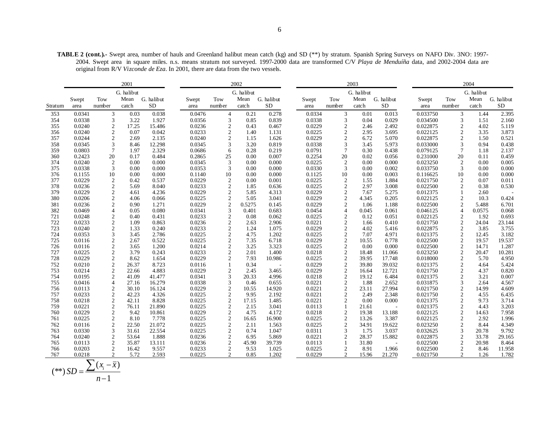**TABLE 2 (cont.).-** Swept area, number of hauls and Greenland halibut mean catch (kg) and SD (\*\*) by stratum. Spanish Spring Surveys on NAFO Div. 3NO: 1997- 2004. Swept area in square miles. n.s. means stratum not surveyed. 1997-2000 data are transformed C/V *Playa de Menduíña* data, and 2002-2004 data are original from R/V *Vizconde de Eza*. In 2001, there are data from the two vessels.

|         |                  |                                | 2001       |            |                  |                              | 2002         |                          |                  |                                  | 2003          |            | 2004                 |                  |              |            |
|---------|------------------|--------------------------------|------------|------------|------------------|------------------------------|--------------|--------------------------|------------------|----------------------------------|---------------|------------|----------------------|------------------|--------------|------------|
|         |                  |                                | G. halibut |            |                  |                              | G. halibut   |                          |                  |                                  | G. halibut    |            |                      |                  | G. halibut   |            |
|         | Swept            | Tow                            | Mean       | G. halibut | Swept            | Tow                          | Mean         | G. halibut               | Swept            | Tow                              | Mean          | G. halibut | Swept                | Tow              | Mean         | G. halibut |
| Stratum | area             | number                         | catch      | <b>SD</b>  | area             | number                       | catch        | <b>SD</b>                | area             | number                           | catch         | SD         | area                 | number           | catch        | ${\rm SD}$ |
| 353     | 0.0341           | $\overline{3}$                 | 0.03       | 0.038      | 0.0476           | $\overline{4}$               | 0.21         | 0.278                    | 0.0334           | 3                                | 0.01          | 0.013      | 0.033750             | 3                | 1.44         | 2.395      |
| 354     | 0.0338           | 3                              | 3.22       | 1.927      | 0.0356           | 3                            | 0.85         | 0.839                    | 0.0338           | 3                                | 0.04          | 0.029      | 0.034500             | 3                | 1.51         | 2.160      |
| 355     | 0.0240           | 2                              | 17.25      | 15.486     | 0.0236           | $\overline{2}$               | 0.43         | 0.467                    | 0.0229           | $\boldsymbol{2}$                 | 2.46          | 2.492      | 0.022875             | 2                | 4.02         | 5.119      |
| 356     | 0.0240           | 2                              | 0.07       | 0.042      | 0.0233           | $\overline{c}$               | 1.40         | 1.131                    | 0.0225           | $\overline{2}$                   | 2.95          | 3.695      | 0.022125             | $\overline{c}$   | 3.35         | 3.873      |
| 357     | 0.0244           | 2                              | 2.69       | 2.135      | 0.0240           | $\overline{c}$               | 1.15         | 1.626                    | 0.0229           | $\boldsymbol{2}$                 | 6.72          | 5.070      | 0.022875             | 2                | 1.50         | 0.521      |
| 358     | 0.0345           | 3                              | 8.46       | 12.298     | 0.0345           | 3                            | 3.20         | 0.819                    | 0.0338           | 3                                | 3.45          | 5.973      | 0.033000             | 3                | 0.94         | 0.438      |
| 359     | 0.0803           | $7\phantom{.0}$                | 1.97       | 2.329      | 0.0686           | 6                            | 0.28         | 0.219                    | 0.0791           | 7                                | 0.30          | 0.438      | 0.079125             | 7                | 1.18         | 2.137      |
| 360     | 0.2423           | 20                             | 0.17       | 0.484      | 0.2865           | 25                           | 0.00         | 0.007                    | 0.2254           | 20                               | 0.02          | 0.056      | 0.231000             | 20               | 0.11         | 0.459      |
| 374     | 0.0240           | 2                              | 0.00       | 0.000      | 0.0345           | 3                            | 0.00         | 0.000                    | 0.0225           | 2                                | 0.00          | 0.000      | 0.023250             | 2                | 0.00         | 0.005      |
| 375     | 0.0338           | 3                              | 0.00       | 0.000      | 0.0353           | 3                            | 0.00         | 0.000                    | 0.0330           | 3                                | 0.00          | 0.002      | 0.033750             | 3                | 0.00         | 0.000      |
| 376     | 0.1155           | 10                             | 0.00       | 0.000      | 0.1140           | 10                           | 0.00         | 0.000                    | 0.1125           | 10                               | 0.00          | 0.003      | 0.116625             | 10               | 0.00         | 0.000      |
| 377     | 0.0229           | 2                              | 0.42       | 0.537      | 0.0229           | $\overline{2}$               | 0.00         | 0.001                    | 0.0225           | $\overline{2}$                   | 1.55          | 1.884      | 0.021750             | 2                | 0.07         | 0.011      |
| 378     | 0.0236           | 2                              | 5.69       | 8.040      | 0.0233           | $\overline{c}$               | 1.85         | 0.636                    | 0.0225           | $\overline{2}$                   | 2.97          | 3.008      | 0.022500             | $\overline{c}$   | 0.38         | 0.530      |
| 379     | 0.0229           | 2                              | 4.61       | 4.236      | 0.0229           | 2                            | 5.85         | 4.313                    | 0.0229           | $\overline{c}$                   | 7.67          | 5.275      | 0.012375             | 1                | 2.60         |            |
| 380     | 0.0206           | 2                              | 4.06       | 0.066      | 0.0225           | $\overline{c}$               | 5.05         | 3.041                    | 0.0229           | $\overline{2}$                   | 4.345         | 0.205      | 0.022125             | 2                | 10.3         | 0.424      |
| 381     | 0.0236           | $\overline{2}$                 | 0.90       | 1.271      | 0.0229           | $\overline{c}$               | 0.5275       | 0.145                    | 0.0229           | $\overline{2}$                   | 1.06          | 1.188      | 0.022500             | 2                | 5.488        | 6.701      |
| 382     | 0.0469           | $\overline{4}$                 | 0.05       | 0.080      | 0.0341           | 3                            | 0.401        | 0.683                    | 0.0454           | $\overline{4}$                   | 0.045         | 0.061      | 0.046125             | $\overline{4}$   | 0.0575       | 0.068      |
| 721     | 0.0248           | $\mathbf{2}$                   | 0.40       | 0.431      | 0.0233           | $\overline{c}$               | 0.08         | 0.062                    | 0.0225           | $\overline{2}$                   | 0.12          | 0.051      | 0.022125             | $\boldsymbol{2}$ | 1.92         | 0.693      |
| 722     | 0.0233           | 2                              | 1.09       | 0.863      | 0.0236           | $\overline{c}$               | 2.63         | 2.906                    | 0.0221           | $\overline{2}$                   | 1.66          | 0.410      | 0.021750             | $\overline{2}$   | 24.04        | 23.144     |
| 723     | 0.0240           | 2                              | 1.33       | 0.240      | 0.0233           | $\overline{c}$               | 1.24         | 1.075                    | 0.0229           | $\overline{2}$                   | 4.02          | 5.416      | 0.022875             | $\boldsymbol{2}$ | 3.85         | 3.755      |
| 724     | 0.0353           | 3                              | 3.45       | 2.786      | 0.0225           | $\overline{c}$               | 4.75         | 1.202                    | 0.0225           | $\overline{c}$                   | 7.07          | 4.971      | 0.021375             | $\sqrt{2}$       | 12.45        | 3.182      |
| 725     | 0.0116           | 2                              | 2.67       | 0.522      | 0.0225           | $\overline{2}$               | 7.35         | 6.718                    | 0.0229           | $\overline{2}$                   | 10.55         | 0.778      | 0.022500             | $\overline{c}$   | 19.57        | 19.537     |
| 726     | 0.0116           | $\mathfrak{2}$                 | 3.65       | 1.200      | 0.0214           | $\overline{c}$               | 3.25         | 3.323                    | 0.0225           | $\overline{2}$                   | 0.00          | 0.000      | 0.022500             | $\overline{c}$   | 14.71        | 1.287      |
| 727     | 0.0225           | 2                              | 3.79       | 0.243      | 0.0233           | $\overline{c}$               | 2.01         | 1.400                    | 0.0218           | $\overline{2}$                   | 18.48         | 11.066     | 0.023250             | $\overline{2}$   | 20.47        | 10.281     |
| 728     | 0.0229           | 2                              | 8.62       | 1.654      | 0.0229           | $\overline{c}$               | 7.93         | 10.986                   | 0.0225           | $\overline{2}$                   | 39.95         | 17.748     | 0.018000             | $\overline{c}$   | 5.70         | 4.950      |
| 752     | 0.0210           | $\boldsymbol{2}$               | 26.37      | 8.723      | 0.0116           | 1                            | 0.34         | $\overline{\phantom{a}}$ | 0.0229           | $\sqrt{2}$                       | 39.80         | 39.032     | 0.021375             | $\mathbf{2}$     | 4.64         | 5.424      |
| 753     | 0.0214           | $\overline{c}$                 | 22.66      | 4.883      | 0.0229           | $\overline{2}$               | 2.45         | 3.465                    | 0.0229           | $\overline{2}$                   | 16.64         | 12.721     | 0.021750             | $\overline{c}$   | 4.37         | 0.820      |
| 754     | 0.0195           | 2                              | 41.09      | 41.477     | 0.0341           | 3                            | 20.33        | 4.996                    | 0.0218           | $\overline{2}$                   | 19.12         | 6.484      | 0.021375             | 2                | 3.21         | 0.007      |
| 755     | 0.0416           | $\overline{4}$                 | 27.16      | 16.279     | 0.0338           | 3                            | 0.46         | 0.655                    | 0.0221           | $\overline{2}$                   | 1.88          | 2.652      | 0.031875             | 3                | 2.64         | 4.567      |
| 756     | 0.0113           | $\mathbf{2}$                   | 30.10      | 16.124     | 0.0229           | $\overline{c}$               | 10.55        | 14.920                   | 0.0221           | $\overline{2}$                   | 23.11         | 27.994     | 0.021750             | $\overline{c}$   | 14.99        | 4.609      |
| 757     | 0.0233           | $\boldsymbol{2}$               | 42.23      | 4.326      | 0.0225           | $\overline{c}$               | 9.95         | 2.192                    | 0.0221           | $\overline{2}$                   | 2.49          | 2.348      | 0.021750             | $\overline{2}$   | 4.55         | 6.435      |
| 758     | 0.0218           | 2                              | 42.11      | 8.828      | 0.0225           | $\overline{2}$               | 17.15        | 1.485                    | 0.0221           |                                  | $0.00\,$      | 0.000      | 0.021375             | 2                | 9.73         | 3.714      |
| 759     | 0.0221           | 2                              | 76.11      | 21.890     | 0.0225           | $\overline{c}$               | 2.15         | 3.041                    | 0.0113           |                                  | 21.61         |            | 0.021375             | $\overline{c}$   | 4.43         | 3.203      |
| 760     | 0.0229<br>0.0225 | 2                              | 9.42       | 10.861     | 0.0229<br>0.0225 | $\overline{c}$               | 4.75         | 4.172                    | 0.0218           | $\sqrt{2}$                       | 19.38         | 13.188     | 0.022125<br>0.022125 | $\sqrt{2}$       | 14.63        | 7.958      |
| 761     |                  | 2                              | 8.10       | 7.778      |                  | $\overline{c}$               | 16.65        | 16.900                   | 0.0225           | $\overline{2}$                   | 13.26         | 3.387      |                      | 2                | 2.92         | 1.996      |
| 762     | 0.0116           | $\mathfrak{2}$                 | 22.50      | 21.072     | 0.0225           | $\overline{c}$               | 2.11         | 1.563                    | 0.0225           | $\overline{2}$                   | 34.91         | 19.622     | 0.023250             | 2                | 8.44         | 4.349      |
| 763     | 0.0330           | 3                              | 31.61      | 22.554     | 0.0225           | $\overline{c}$               | 0.74         | 1.047                    | 0.0311           | 3                                | 1.75          | 3.037      | 0.032625             | 3                | 20.78        | 9.792      |
| 764     | 0.0240           | $\mathbf{2}$                   | 53.64      | 1.888      | 0.0236           | $\overline{c}$               | 6.95         | 5.869                    | 0.0221           | $\overline{2}$                   | 28.37         | 15.882     | 0.022875             | $\boldsymbol{2}$ | 33.78        | 29.165     |
| 765     | 0.0113           | $\overline{c}$                 | 35.87      | 13.111     | 0.0236           | $\overline{c}$               | 45.90        | 39.739                   | 0.0113           |                                  | 31.80         |            | 0.022500             | $\overline{2}$   | 20.98        | 8.464      |
| 766     | 0.0203           | $\mathbf{2}$<br>$\overline{2}$ | 16.42      | 9.557      | 0.0233<br>0.0225 | $\sqrt{2}$<br>$\overline{c}$ | 9.53<br>0.85 | 1.025                    | 0.0225<br>0.0229 | $\overline{2}$<br>$\overline{c}$ | 8.91<br>15.96 | 1.966      | 0.022500             | $\overline{c}$   | 8.46<br>1.26 | 11.958     |
| 767     | 0.0218           |                                | 5.72       | 2.593      |                  |                              |              | 1.202                    |                  |                                  |               | 21.270     | 0.021750             | 2                |              | 1.782      |

$$
(**) SD = \frac{\sum (x_i - \overline{x})}{n-1}
$$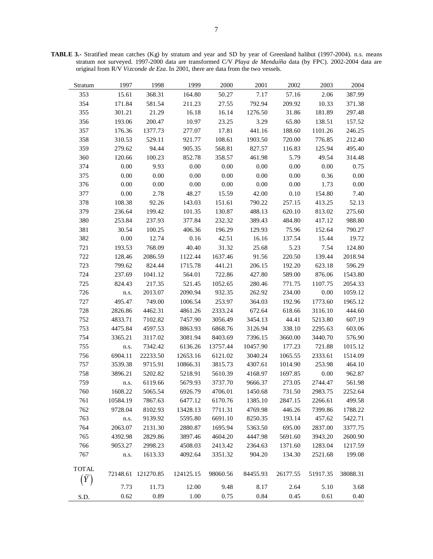**TABLE 3.-** Stratified mean catches (Kg) by stratum and year and SD by year of Greenland halibut (1997-2004). n.s. means stratum not surveyed. 1997-2000 data are transformed C/V *Playa de Menduíña* data (by FPC). 2002-2004 data are original from R/V *Vizconde de Eza*. In 2001, there are data from the two vessels.

| Stratum      | 1997     | 1998               | 1999      | 2000     | 2001     | 2002     | 2003     | 2004     |
|--------------|----------|--------------------|-----------|----------|----------|----------|----------|----------|
| 353          | 15.61    | 368.31             | 164.80    | 50.27    | 7.17     | 57.16    | 2.06     | 387.99   |
| 354          | 171.84   | 581.54             | 211.23    | 27.55    | 792.94   | 209.92   | 10.33    | 371.38   |
| 355          | 301.21   | 21.29              | 16.18     | 16.14    | 1276.50  | 31.86    | 181.89   | 297.48   |
| 356          | 193.06   | 200.47             | 10.97     | 23.25    | 3.29     | 65.80    | 138.51   | 157.52   |
| 357          | 176.36   | 1377.73            | 277.07    | 17.81    | 441.16   | 188.60   | 1101.26  | 246.25   |
| 358          | 310.53   | 529.11             | 921.77    | 108.61   | 1903.50  | 720.00   | 776.85   | 212.40   |
| 359          | 279.62   | 94.44              | 905.35    | 568.81   | 827.57   | 116.83   | 125.94   | 495.40   |
| 360          | 120.66   | 100.23             | 852.78    | 358.57   | 461.98   | 5.79     | 49.54    | 314.48   |
| 374          | 0.00     | 9.93               | $0.00\,$  | $0.00\,$ | 0.00     | 0.00     | 0.00     | 0.75     |
| 375          | 0.00     | $0.00\,$           | $0.00\,$  | $0.00\,$ | 0.00     | 0.00     | 0.36     | 0.00     |
| 376          | 0.00     | 0.00               | 0.00      | 0.00     | 0.00     | 0.00     | 1.73     | $0.00\,$ |
| 377          | 0.00     | 2.78               | 48.27     | 15.59    | 42.00    | 0.10     | 154.80   | 7.40     |
| 378          | 108.38   | 92.26              | 143.03    | 151.61   | 790.22   | 257.15   | 413.25   | 52.13    |
| 379          | 236.64   | 199.42             | 101.35    | 130.87   | 488.13   | 620.10   | 813.02   | 275.60   |
| 380          | 253.84   | 237.93             | 377.84    | 232.32   | 389.43   | 484.80   | 417.12   | 988.80   |
| 381          | 30.54    | 100.25             | 406.36    | 196.29   | 129.93   | 75.96    | 152.64   | 790.27   |
| 382          | 0.00     | 12.74              | $0.16\,$  | 42.51    | 16.16    | 137.54   | 15.44    | 19.72    |
| 721          | 193.53   | 768.09             | 40.40     | 31.32    | 25.68    | 5.23     | 7.54     | 124.80   |
| 722          | 128.46   | 2086.59            | 1122.44   | 1637.46  | 91.56    | 220.50   | 139.44   | 2018.94  |
| 723          | 799.62   | 824.44             | 1715.78   | 441.21   | 206.15   | 192.20   | 623.18   | 596.29   |
| 724          | 237.69   | 1041.12            | 564.01    | 722.86   | 427.80   | 589.00   | 876.06   | 1543.80  |
| 725          | 824.43   | 217.35             | 521.45    | 1052.65  | 280.46   | 771.75   | 1107.75  | 2054.33  |
| 726          | n.s.     | 2013.07            | 2090.94   | 932.35   | 262.92   | 234.00   | 0.00     | 1059.12  |
| 727          | 495.47   | 749.00             | 1006.54   | 253.97   | 364.03   | 192.96   | 1773.60  | 1965.12  |
| 728          | 2826.86  | 4462.31            | 4861.26   | 2333.24  | 672.64   | 618.66   | 3116.10  | 444.60   |
| 752          | 4833.71  | 7102.82            | 7457.90   | 3056.49  | 3454.13  | 44.41    | 5213.80  | 607.19   |
| 753          | 4475.84  | 4597.53            | 8863.93   | 6868.76  | 3126.94  | 338.10   | 2295.63  | 603.06   |
| 754          | 3365.21  | 3117.02            | 3081.94   | 8403.69  | 7396.15  | 3660.00  | 3440.70  | 576.90   |
| 755          | n.s.     | 7342.42            | 6136.26   | 13757.44 | 10457.90 | 177.23   | 721.88   | 1015.12  |
| 756          | 6904.11  | 22233.50           | 12653.16  | 6121.02  | 3040.24  | 1065.55  | 2333.61  | 1514.09  |
| 757          | 3539.38  | 9715.91            | 10866.31  | 3815.73  | 4307.61  | 1014.90  | 253.98   | 464.10   |
| 758          | 3896.21  | 5202.82            | 5218.91   | 5610.39  | 4168.97  | 1697.85  | 0.00     | 962.87   |
| 759          | n.s.     | 6119.66            | 5679.93   | 3737.70  | 9666.37  | 273.05   | 2744.47  | 561.98   |
| 760          | 1608.22  | 5065.54            | 6926.79   | 4706.01  | 1450.68  | 731.50   | 2983.75  | 2252.64  |
| 761          | 10584.19 | 7867.63            | 6477.12   | 6170.76  | 1385.10  | 2847.15  | 2266.61  | 499.58   |
| 762          | 9728.04  | 8102.93            | 13428.13  | 7711.31  | 4769.98  | 446.26   | 7399.86  | 1788.22  |
| 763          | n.s.     | 9139.92            | 5595.80   | 6691.10  | 8250.35  | 193.14   | 457.62   | 5422.71  |
| 764          | 2063.07  | 2131.30            | 2880.87   | 1695.94  | 5363.50  | 695.00   | 2837.00  | 3377.75  |
| 765          | 4392.98  | 2829.86            | 3897.46   | 4604.20  | 4447.98  | 5691.60  | 3943.20  | 2600.90  |
| 766          | 9053.27  | 2998.23            | 4508.03   | 2413.42  | 2364.63  | 1371.60  | 1283.04  | 1217.59  |
| 767          | n.s.     | 1613.33            | 4092.64   | 3351.32  | 904.20   | 134.30   | 2521.68  | 199.08   |
| <b>TOTAL</b> |          |                    |           |          |          |          |          |          |
| $(\bar{Y})$  |          | 72148.61 121270.85 | 124125.15 | 98060.56 | 84455.93 | 26177.55 | 51917.35 | 38088.31 |
|              | 7.73     | 11.73              | 12.00     | 9.48     | 8.17     | 2.64     | 5.10     | 3.68     |
|              | 0.62     | 0.89               | 1.00      | 0.75     | 0.84     | 0.45     | 0.61     | 0.40     |
| S.D.         |          |                    |           |          |          |          |          |          |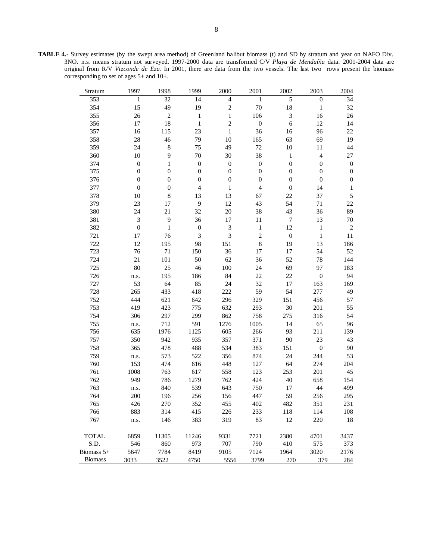**TABLE 4.-** Survey estimates (by the swept area method) of Greenland halibut biomass (t) and SD by stratum and year on NAFO Div. 3NO. n.s. means stratum not surveyed. 1997-2000 data are transformed C/V *Playa de Menduíña* data. 2001-2004 data are original from R/V *Vizconde de Eza*. In 2001, there are data from the two vessels. The last two rows present the biomass corresponding to set of ages 5+ and 10+.

| Stratum        | 1997                        | 1998             | 1999                     | 2000                     | 2001             | 2002             | 2003                     | 2004             |
|----------------|-----------------------------|------------------|--------------------------|--------------------------|------------------|------------------|--------------------------|------------------|
| 353            | $\mathbf{1}$                | 32               | 14                       | $\overline{\mathcal{L}}$ | 1                | 5                | $\boldsymbol{0}$         | 34               |
| 354            | 15                          | 49               | 19                       | $\overline{2}$           | 70               | 18               | $\,1$                    | 32               |
| 355            | 26                          | $\overline{c}$   | $\,1$                    | $\mathbf{1}$             | 106              | 3                | 16                       | 26               |
| 356            | 17                          | 18               | $\,1$                    | $\mathbf{2}$             | $\boldsymbol{0}$ | 6                | 12                       | 14               |
| 357            | 16                          | 115              | 23                       | $\mathbf{1}$             | 36               | 16               | 96                       | 22               |
| 358            | 28                          | 46               | 79                       | 10                       | 165              | 63               | 69                       | 19               |
| 359            | 24                          | 8                | 75                       | 49                       | 72               | $10\,$           | 11                       | 44               |
| 360            | $10\,$                      | 9                | 70                       | 30                       | 38               | $\mathbf{1}$     | $\overline{\mathcal{L}}$ | 27               |
| 374            | $\boldsymbol{0}$            | $\mathbf{1}$     | $\boldsymbol{0}$         | $\boldsymbol{0}$         | $\boldsymbol{0}$ | $\boldsymbol{0}$ | $\boldsymbol{0}$         | $\boldsymbol{0}$ |
| 375            | $\boldsymbol{0}$            | $\boldsymbol{0}$ | $\boldsymbol{0}$         | $\boldsymbol{0}$         | $\boldsymbol{0}$ | $\boldsymbol{0}$ | $\boldsymbol{0}$         | $\boldsymbol{0}$ |
| 376            | $\boldsymbol{0}$            | $\boldsymbol{0}$ | $\boldsymbol{0}$         | $\boldsymbol{0}$         | $\boldsymbol{0}$ | $\boldsymbol{0}$ | $\boldsymbol{0}$         | $\boldsymbol{0}$ |
| 377            | $\boldsymbol{0}$            | $\boldsymbol{0}$ | $\overline{\mathcal{L}}$ | 1                        | $\overline{4}$   | $\boldsymbol{0}$ | 14                       | $\mathbf{1}$     |
| 378            | $10\,$                      | 8                | 13                       | 13                       | 67               | 22               | 37                       | $\sqrt{5}$       |
| 379            | 23                          | 17               | $\overline{9}$           | 12                       | 43               | 54               | 71                       | 22               |
| 380            | 24                          | 21               | 32                       | 20                       | 38               | 43               | 36                       | 89               |
| 381            | $\ensuremath{\mathfrak{Z}}$ | 9                | 36                       | $17\,$                   | 11               | $\boldsymbol{7}$ | 13                       | 70               |
| 382            | $\boldsymbol{0}$            | $\mathbf{1}$     | $\boldsymbol{0}$         | 3                        | $\,1$            | 12               | $\mathbf 1$              | $\boldsymbol{2}$ |
| 721            | 17                          | 76               | $\mathfrak{Z}$           | 3                        | $\overline{c}$   | $\boldsymbol{0}$ | $\,1\,$                  | 11               |
| 722            | 12                          | 195              | 98                       | 151                      | $\,8\,$          | 19               | 13                       | 186              |
| 723            | 76                          | 71               | 150                      | 36                       | 17               | 17               | 54                       | 52               |
| 724            | 21                          | 101              | 50                       | 62                       | 36               | 52               | 78                       | 144              |
| 725            | $80\,$                      | 25               | 46                       | 100                      | 24               | 69               | 97                       | 183              |
| 726            | n.s.                        | 195              | 186                      | 84                       | 22               | 22               | $\boldsymbol{0}$         | 94               |
| 727            | 53                          | 64               | 85                       | 24                       | 32               | 17               | 163                      | 169              |
| 728            | 265                         | 433              | 418                      | 222                      | 59               | 54               | 277                      | 49               |
| 752            | 444                         | 621              | 642                      | 296                      | 329              | 151              | 456                      | 57               |
| 753            | 419                         | 423              | 775                      | 632                      | 293              | 30               | 201                      | 55               |
| 754            | 306                         | 297              | 299                      | 862                      | 758              | 275              | 316                      | 54               |
| 755            | n.s.                        | 712              | 591                      | 1276                     | 1005             | 14               | 65                       | 96               |
| 756            | 635                         | 1976             | 1125                     | 605                      | 266              | 93               | 211                      | 139              |
| 757            | 350                         | 942              | 935                      | 357                      | 371              | 90               | 23                       | 43               |
| 758            | 365                         | 478              | 488                      | 534                      | 383              | 151              | $\boldsymbol{0}$         | 90               |
| 759            | n.s.                        | 573              | 522                      | 356                      | 874              | 24               | 244                      | 53               |
| 760            | 153                         | 474              | 616                      | 448                      | 127              | 64               | 274                      | 204              |
| 761            | 1008                        | 763              | 617                      | 558                      | 123              | 253              | 201                      | 45               |
| 762<br>763     | 949                         | 786<br>840       | 1279<br>539              | 762<br>643               | 424<br>750       | 40<br>17         | 658<br>44                | 154<br>499       |
| 764            | n.s.<br>200                 | 196              | 256                      | 156                      | 447              | 59               | 256                      | 295              |
| 765            | 426                         | 270              | 352                      | 455                      | 402              | 482              | 351                      | 231              |
| 766            | 883                         | 314              | 415                      | 226                      | 233              | 118              | 114                      | 108              |
| 767            | n.s.                        | 146              | 383                      | 319                      | 83               | 12               | 220                      | 18               |
|                |                             |                  |                          |                          |                  |                  |                          |                  |
| <b>TOTAL</b>   | 6859                        | 11305            | 11246                    | 9331                     | 7721             | 2380             | 4701                     | 3437             |
| S.D.           | 546                         | 860              | 973                      | 707                      | 790              | 410              | 575                      | 373              |
| Biomass $5+$   | 5647                        | 7784             | 8419                     | 9105                     | 7124             | 1964             | 3020                     | 2176             |
| <b>Biomass</b> | 3033                        | 3522             | 4750                     | 5556                     | 3799             | 270              | 379                      | 284              |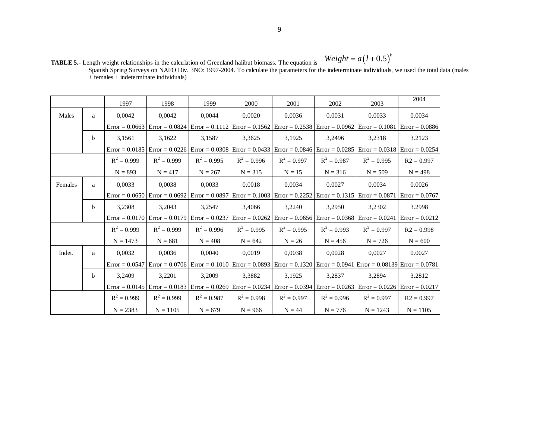**TABLE 5.-** Length weight relationships in the calculation of Greenland halibut biomass. The equation is Spanish Spring Surveys on NAFO Div. 3NO: 1997-2004. To calculate the parameters for the indeterminate individuals, we used the total data (males + females + indeterminate individuals)

|         |   | 1997          | 1998                                                                                                                                    | 1999          | 2000          | 2001          | 2002          | 2003          | 2004         |
|---------|---|---------------|-----------------------------------------------------------------------------------------------------------------------------------------|---------------|---------------|---------------|---------------|---------------|--------------|
| Males   | a | 0,0042        | 0,0042                                                                                                                                  | 0.0044        | 0.0020        | 0,0036        | 0,0031        | 0,0033        | 0.0034       |
|         |   |               | Error = 0.0663   Error = 0.0824   Error = 0.1112   Error = 0.1562   Error = 0.2538   Error = 0.0962   Error = 0.1081   Error = 0.0886   |               |               |               |               |               |              |
|         | b | 3,1561        | 3,1622                                                                                                                                  | 3,1587        | 3,3625        | 3,1925        | 3,2496        | 3,2318        | 3.2123       |
|         |   |               | Error = 0.0185   Error = 0.0226   Error = 0.0308   Error = 0.0433   Error = 0.0846   Error = 0.0285   Error = 0.0318   Error = 0.0254   |               |               |               |               |               |              |
|         |   | $R^2 = 0.999$ | $R^2 = 0.999$                                                                                                                           | $R^2 = 0.995$ | $R^2 = 0.996$ | $R^2 = 0.997$ | $R^2 = 0.987$ | $R^2 = 0.995$ | $R2 = 0.997$ |
|         |   | $N = 893$     | $N = 417$                                                                                                                               | $N = 267$     | $N = 315$     | $N = 15$      | $N = 316$     | $N = 509$     | $N = 498$    |
| Females | a | 0.0033        | 0.0038                                                                                                                                  | 0.0033        | 0.0018        | 0.0034        | 0.0027        | 0.0034        | 0.0026       |
|         |   |               | Error = $0.0650$ Error = $0.0692$ Error = $0.0897$ Error = $0.1003$ Error = $0.2252$ Error = $0.1315$ Error = $0.0871$ Error = $0.0767$ |               |               |               |               |               |              |
|         | b | 3,2308        | 3,2043                                                                                                                                  | 3,2547        | 3.4066        | 3,2240        | 3.2950        | 3,2302        | 3.2998       |
|         |   |               | Error = 0.0170 Error = 0.0179 Error = 0.0237 Error = 0.0262 Error = 0.0656 Error = 0.0368 Error = 0.0241 Error = 0.0212                 |               |               |               |               |               |              |
|         |   | $R^2 = 0.999$ | $R^2 = 0.999$                                                                                                                           | $R^2 = 0.996$ | $R^2 = 0.995$ | $R^2 = 0.995$ | $R^2 = 0.993$ | $R^2 = 0.997$ | $R2 = 0.998$ |
|         |   | $N = 1473$    | $N = 681$                                                                                                                               | $N = 408$     | $N = 642$     | $N = 26$      | $N = 456$     | $N = 726$     | $N = 600$    |
| Indet.  | a | 0.0032        | 0.0036                                                                                                                                  | 0.0040        | 0.0019        | 0.0038        | 0.0028        | 0.0027        | 0.0027       |
|         |   |               | Error = 0.0547   Error = 0.0706   Error = 0.1010   Error = 0.0893   Error = 0.1320   Error = 0.0941   Error = 0.08139   Error = 0.0781  |               |               |               |               |               |              |
|         | b | 3,2409        | 3,2201                                                                                                                                  | 3,2009        | 3,3882        | 3,1925        | 3,2837        | 3,2894        | 3.2812       |
|         |   |               | Error = 0.0145   Error = 0.0183   Error = 0.0269   Error = 0.0234   Error = 0.0394   Error = 0.0263   Error = 0.0226   Error = 0.0217   |               |               |               |               |               |              |
|         |   | $R^2 = 0.999$ | $R^2 = 0.999$                                                                                                                           | $R^2 = 0.987$ | $R^2 = 0.998$ | $R^2 = 0.997$ | $R^2 = 0.996$ | $R^2 = 0.997$ | $R2 = 0.997$ |
|         |   | $N = 2383$    | $N = 1105$                                                                                                                              | $N = 679$     | $N = 966$     | $N = 44$      | $N = 776$     | $N = 1243$    | $N = 1105$   |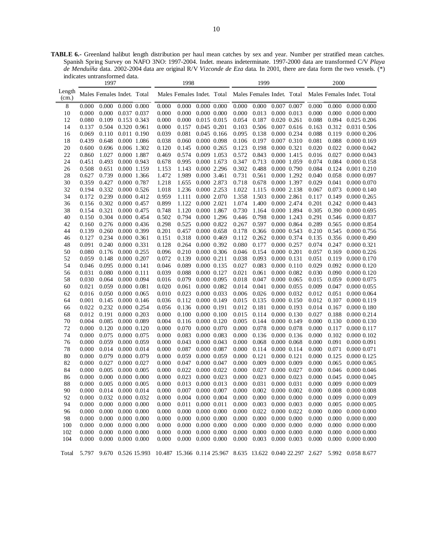**TABLE 6.-** Greenland halibut length distribution per haul mean catches by sex and year. Number per stratified mean catches. Spanish Spring Survey on NAFO 3NO: 1997-2004. Indet. means indeterminate. 1997-2000 data are transformed C/V *Playa de Menduíña* data. 2002-2004 data are original R/V *Vizconde de Eza* data. In 2001, there are data form the two vessels. (\*) indicates untransformed data.

 $\blacksquare$ 

|                 |       | 1997                            |                 |       | 1998                       |                 |             |       | 1999                    |                 |       | 2000  |                                                                                                                                 |
|-----------------|-------|---------------------------------|-----------------|-------|----------------------------|-----------------|-------------|-------|-------------------------|-----------------|-------|-------|---------------------------------------------------------------------------------------------------------------------------------|
| Length<br>(cm.) |       | Males Females Indet. Total      |                 |       | Males Females Indet. Total |                 |             |       |                         |                 |       |       | Males Females Indet. Total Males Females Indet. Total                                                                           |
| 8               | 0.000 | 0.000                           | 0.000 0.000     | 0.000 | 0.000                      | 0.000 0.000     |             | 0.000 | 0.000                   | 0.007 0.007     | 0.000 | 0.000 | $0.000\ 0.000$                                                                                                                  |
| 10              | 0.000 | 0.000                           | 0.037 0.037     | 0.000 | 0.000                      |                 | 0.000 0.000 | 0.000 | 0.013                   | 0.000 0.013     | 0.000 | 0.000 | 0.000 0.000                                                                                                                     |
| 12              | 0.080 | 0.109                           | 0.153 0.343     | 0.000 | 0.000                      | 0.015 0.015     |             | 0.054 | 0.187                   | $0.020$ $0.261$ | 0.088 | 0.094 | 0.025 0.206                                                                                                                     |
| 14              | 0.137 | 0.504                           | 0.320 0.961     | 0.000 | 0.157                      | 0.045 0.201     |             | 0.103 | 0.506                   | 0.007 0.616     | 0.163 | 0.312 | 0.031 0.506                                                                                                                     |
| 16              | 0.069 | 0.110                           | 0.011 0.190     | 0.039 | 0.081                      | 0.045 0.166     |             | 0.095 | 0.138                   | 0.000 0.234     | 0.088 | 0.119 | $0.000$ $0.206$                                                                                                                 |
| 18              | 0.439 | 0.648                           | 0.000 1.086     | 0.038 | 0.060                      |                 | 0.000 0.098 | 0.106 | 0.197                   | 0.007 0.310     | 0.081 | 0.088 | 0.00000.169                                                                                                                     |
| 20              | 0.600 | 0.696                           | 0.006 1.302     | 0.120 | 0.145                      |                 | 0.000 0.265 | 0.123 | 0.198                   | 0.000 0.321     | 0.020 | 0.022 | 0.000 0.042                                                                                                                     |
| 22              | 0.860 | 1.027                           | 0.000 1.887     | 0.469 | 0.574                      | 0.009 1.053     |             | 0.572 | 0.843                   | 0.000 1.415     | 0.016 | 0.027 | 0.000 0.043                                                                                                                     |
| 24              | 0.451 | 0.493                           | 0.000 0.943     | 0.678 | 0.995                      | 0.000 1.673     |             | 0.347 | 0.713                   | 0.000 1.059     | 0.074 | 0.084 | 0.000 0.158                                                                                                                     |
| 26              | 0.508 | 0.651                           | 0.000 1.159     | 1.153 | 1.143                      |                 | 0.000 2.296 | 0.302 | 0.488                   | 0.000 0.790     | 0.084 | 0.124 | 0.001 0.210                                                                                                                     |
| 28              | 0.627 | 0.739                           | 0.000 1.366     | 1.472 | 1.989                      | 0.000 3.461     |             | 0.731 | 0.561                   | 0.000 1.292     | 0.040 | 0.058 | 0.000 0.097                                                                                                                     |
| 30              | 0.359 | 0.427                           | 0.000 0.787     | 1.218 | 1.655                      | 0.000 2.873     |             | 0.718 | 0.678                   | 0.000 1.397     | 0.029 | 0.041 | 0.000 0.070                                                                                                                     |
| 32              | 0.194 | 0.332                           | 0.000 0.526     | 1.018 | 1.236                      | 0.000 2.253     |             | 1.022 | 1.115                   | 0.000 2.138     | 0.067 | 0.073 | 0.000 0.140                                                                                                                     |
| 34              | 0.172 | 0.239                           | 0.000 0.412     | 0.959 | 1.111                      |                 | 0.000 2.070 | 1.358 | 1.503                   | 0.000 2.861     | 0.117 | 0.149 | 0.000 0.265                                                                                                                     |
| 36              | 0.156 | 0.302                           | 0.000 0.457     | 0.899 | 1.122                      | 0.000 2.021     |             | 1.074 | 1.400                   | 0.000 2.474     | 0.201 | 0.242 | 0.0000.443                                                                                                                      |
| 38              | 0.154 | 0.321                           | 0.000 0.475     | 0.748 | 1.120                      | 0.000 1.867     |             | 0.730 | 1.164                   | 0.000 1.894     | 0.305 | 0.390 | 0.000 0.695                                                                                                                     |
| 40              | 0.150 | 0.304                           | 0.000 0.454     | 0.502 | 0.794                      |                 | 0.000 1.296 | 0.446 | 0.798                   | 0.000 1.243     | 0.291 | 0.546 | 0.000 0.837                                                                                                                     |
| 42              | 0.160 | 0.276                           | 0.000 0.436     | 0.298 | 0.525                      |                 | 0.000 0.822 | 0.267 | 0.597                   | 0.000 0.864     | 0.289 | 0.565 | 0.000 0.854                                                                                                                     |
| 44              | 0.139 | 0.260                           | 0.000 0.399     | 0.201 | 0.457                      | 0.000 0.658     |             | 0.178 | 0.366                   | 0.000 0.543     | 0.210 | 0.545 | 0.000 0.756                                                                                                                     |
| 46              | 0.127 | 0.234                           | 0.000 0.361     | 0.151 | 0.318                      |                 | 0.000 0.469 | 0.112 | 0.262                   | 0.000 0.374     | 0.135 | 0.356 | 0.000 0.490                                                                                                                     |
| 48              | 0.091 | 0.240                           | 0.000 0.331     | 0.128 | 0.264                      | 0.000 0.392     |             | 0.080 | 0.177                   | 0.000 0.257     | 0.074 | 0.247 | 0.000 0.321                                                                                                                     |
| 50              | 0.080 | 0.176                           | 0.000 0.255     | 0.096 | 0.210                      |                 | 0.000 0.306 | 0.046 | 0.154                   | 0.000 0.201     | 0.057 | 0.169 | 0.00000.226                                                                                                                     |
| 52              | 0.059 | 0.148                           | 0.000 0.207     | 0.072 | 0.139                      | $0.000$ $0.211$ |             | 0.038 | 0.093                   | 0.000 0.131     | 0.051 | 0.119 | 0.000 0.170                                                                                                                     |
| 54              | 0.046 | 0.095                           | $0.000$ $0.141$ | 0.046 | 0.089                      |                 | 0.000 0.135 | 0.027 | 0.083                   | 0.000 0.110     | 0.029 | 0.092 | 0.000 0.120                                                                                                                     |
| 56              | 0.031 | 0.080                           | 0.000 0.111     | 0.039 | 0.088                      | 0.000 0.127     |             | 0.021 | 0.061                   | 0.000 0.082     | 0.030 | 0.090 | 0.000 0.120                                                                                                                     |
| 58              | 0.030 | 0.064                           | 0.000 0.094     | 0.016 | 0.079                      |                 | 0.000 0.095 | 0.018 | 0.047                   | 0.000 0.065     | 0.015 | 0.059 | 0.000 0.075                                                                                                                     |
| 60              | 0.021 | 0.059                           | 0.000 0.081     | 0.020 | 0.061                      |                 | 0.000 0.082 | 0.014 | 0.041                   | 0.000 0.055     | 0.009 | 0.047 | 0.000 0.055                                                                                                                     |
| 62              | 0.016 | 0.050                           | 0.000 0.065     | 0.010 | 0.023                      |                 | 0.000 0.033 | 0.006 | 0.026                   | 0.000 0.032     | 0.012 | 0.051 | 0.000 0.064                                                                                                                     |
| 64              | 0.001 | 0.145                           | 0.000 0.146     | 0.036 | 0.112                      |                 | 0.000 0.149 | 0.015 | 0.135                   | 0.000 0.150     | 0.012 | 0.107 | 0.000 0.119                                                                                                                     |
| 66              | 0.022 | 0.232                           | 0.000 0.254     | 0.056 | 0.136                      | 0.000 0.191     |             | 0.012 | 0.181                   | 0.000 0.193     | 0.014 | 0.167 | 0.00000.180                                                                                                                     |
| 68              | 0.012 | 0.191                           | 0.000 0.203     | 0.000 | 0.100                      |                 | 0.000 0.100 | 0.015 | 0.114                   | 0.000 0.130     | 0.027 | 0.188 | 0.000 0.214                                                                                                                     |
| 70              | 0.004 | 0.085                           | 0.000 0.089     | 0.004 | 0.116                      |                 | 0.000 0.120 | 0.005 | 0.144                   | $0.000$ $0.149$ | 0.000 | 0.130 | 0.000 0.130                                                                                                                     |
| 72              | 0.000 | 0.120                           | 0.000 0.120     | 0.000 | 0.070                      |                 | 0.000 0.070 | 0.000 | 0.078                   | 0.000 0.078     | 0.000 | 0.117 | 0.000 0.117                                                                                                                     |
| 74              | 0.000 | 0.075                           | 0.000 0.075     | 0.000 | 0.083                      | 0.000 0.083     |             | 0.000 | 0.136                   | 0.000 0.136     | 0.000 | 0.102 | 0.00000.102                                                                                                                     |
| 76              | 0.000 | 0.059                           | 0.000 0.059     | 0.000 | 0.043                      | 0.000 0.043     |             | 0.000 | 0.068                   | 0.000 0.068     | 0.000 | 0.091 | 0.000 0.091                                                                                                                     |
| 78              | 0.000 | 0.014                           | 0.000 0.014     | 0.000 | 0.087                      | 0.000 0.087     |             | 0.000 | 0.114                   | 0.000 0.114     | 0.000 | 0.071 | 0.000 0.071                                                                                                                     |
| 80              | 0.000 | 0.079                           | 0.000 0.079     | 0.000 | 0.059                      | 0.000 0.059     |             | 0.000 | 0.121                   | 0.000 0.121     | 0.000 | 0.125 | 0.000 0.125                                                                                                                     |
| 82              | 0.000 | 0.027                           | 0.000 0.027     | 0.000 | 0.047                      | 0.000 0.047     |             | 0.000 | 0.009                   | 0.000 0.009     | 0.000 | 0.065 | 0.000 0.065                                                                                                                     |
| 84              | 0.000 | 0.005                           | 0.000 0.005     | 0.000 | 0.022                      | 0.000 0.022     |             | 0.000 | 0.027                   | 0.000 0.027     | 0.000 | 0.046 | 0.000 0.046                                                                                                                     |
| 86              | 0.000 | 0.000                           | 0.000 0.000     | 0.000 | 0.023                      | 0.000 0.023     |             | 0.000 | 0.023                   | 0.000 0.023     | 0.000 | 0.045 | 0.000 0.045                                                                                                                     |
| 88              | 0.000 | 0.005                           | 0.000 0.005     | 0.000 | 0.013                      | 0.000 0.013     |             | 0.000 | 0.031                   | 0.000 0.031     | 0.000 | 0.009 | 0.000 0.009                                                                                                                     |
| 90              | 0.000 | 0.014 0.000 0.014               |                 | 0.000 | 0.007 0.000 0.007          |                 |             | 0.000 | $0.002$ $0.000$ $0.002$ |                 | 0.000 |       | $0.008$ 0.000 0.008                                                                                                             |
| 92              |       | $0.000$ $0.032$ $0.000$ $0.032$ |                 | 0.000 |                            |                 |             |       |                         |                 |       |       | $0.004 \quad 0.000 \quad 0.004 \quad 0.000 \quad 0.000 \quad 0.000 \quad 0.000 \quad 0.000 \quad 0.009 \quad 0.000 \quad 0.009$ |
| 94              |       | $0.000$ $0.000$ $0.000$ $0.000$ |                 | 0.000 | $0.011$ $0.000$ $0.011$    |                 |             | 0.000 | 0.003 0.000 0.003       |                 | 0.000 |       | $0.005$ 0.000 0.005                                                                                                             |
| 96              | 0.000 | 0.000                           | 0.000 0.000     | 0.000 | 0.000                      | $0.000$ $0.000$ |             | 0.000 | 0.022                   | $0.000$ $0.022$ | 0.000 | 0.000 | 0.0000000                                                                                                                       |
| 98              | 0.000 | 0.000                           | 0.000 0.000     | 0.000 | 0.000                      | 0.000 0.000     |             | 0.000 | 0.000                   | 0.000 0.000     | 0.000 |       | $0.000$ $0.000$ $0.000$                                                                                                         |
| 100             | 0.000 | 0.000                           | $0.000$ $0.000$ | 0.000 | 0.000                      | 0.000 0.000     |             | 0.000 | 0.000                   | 0.000 0.000     | 0.000 |       | $0.000$ $0.000$ $0.000$                                                                                                         |
| 102             | 0.000 | 0.000                           | $0.000$ $0.000$ | 0.000 | 0.000                      | 0.000 0.000     |             | 0.000 | 0.000                   | $0.000$ $0.000$ | 0.000 | 0.000 | 0.0000000                                                                                                                       |
| 104             | 0.000 | 0.000                           | $0.000$ $0.000$ | 0.000 | $0.000$ $0.000$ $0.000$    |                 |             | 0.000 | 0.003 0.000 0.003       |                 | 0.000 |       | $0.000$ $0.000$ $0.000$                                                                                                         |
| Total           |       |                                 |                 |       |                            |                 |             |       |                         |                 |       |       | 5.797 9.670 0.526 15.993 10.487 15.366 0.114 25.967 8.635 13.622 0.040 22.297 2.627 5.992 0.058 8.677                           |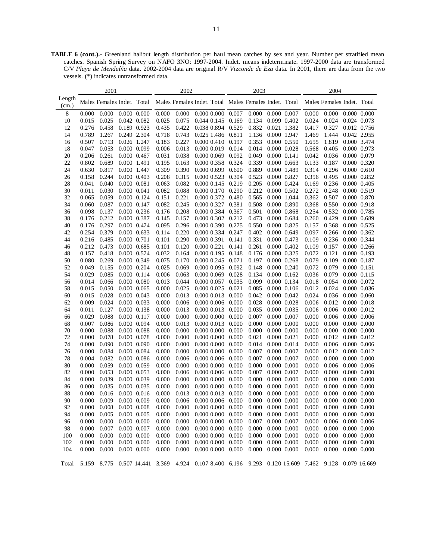**TABLE 6 (cont.).-** Greenland halibut length distribution per haul mean catches by sex and year. Number per stratified mean catches. Spanish Spring Survey on NAFO 3NO: 1997-2004. Indet. means indeterminate. 1997-2000 data are transformed C/V *Playa de Menduíña* data. 2002-2004 data are original R/V *Vizconde de Eza* data. In 2001, there are data from the two vessels. (\*) indicates untransformed data.

|                 |       | 2001                       |                     |       | 2002  |                                                                                                    |       | 2003  |                 |       | 2004                       |                 |                     |
|-----------------|-------|----------------------------|---------------------|-------|-------|----------------------------------------------------------------------------------------------------|-------|-------|-----------------|-------|----------------------------|-----------------|---------------------|
| Length<br>(cm.) |       | Males Females Indet. Total |                     |       |       | Males Females Indet. Total Males Females Indet. Total                                              |       |       |                 |       | Males Females Indet. Total |                 |                     |
| 8               | 0.000 | 0.000                      | $0.000 \quad 0.000$ | 0.000 | 0.000 | $0.000$ $0.000$ $0.007$                                                                            |       | 0.000 | 0.000 0.007     | 0.000 | 0.000                      | $0.000$ $0.000$ |                     |
| 10              | 0.015 | 0.025                      | 0.042 0.082         | 0.025 | 0.075 | 0.044 0.145                                                                                        | 0.169 | 0.134 | 0.099 0.402     | 0.024 | 0.024                      | 0.024 0.073     |                     |
| 12              | 0.276 | 0.458                      | 0.189 0.923         | 0.435 | 0.422 | 0.038 0.894                                                                                        | 0.529 | 0.832 | 0.021 1.382     | 0.417 | 0.327                      |                 | 0.012 0.756         |
| 14              | 0.789 | 1.267                      | 0.249 2.304         | 0.718 | 0.743 | 0.025 1.486                                                                                        | 0.811 | 1.136 | 0.000 1.947     | 1.469 | 1.444                      | 0.042 2.955     |                     |
| 16              | 0.507 | 0.713                      | 0.026 1.247         | 0.183 | 0.227 | 0.000 0.410                                                                                        | 0.197 | 0.353 | 0.000 0.550     | 1.655 | 1.819                      | 0.000 3.474     |                     |
| 18              | 0.047 | 0.053                      | 0.000 0.099         | 0.006 | 0.013 | 0.000 0.019                                                                                        | 0.014 | 0.014 | 0.000 0.028     | 0.568 | 0.405                      | 0.000 0.973     |                     |
| 20              | 0.206 | 0.261                      | $0.000 \quad 0.467$ | 0.031 | 0.038 | 0.000 0.069                                                                                        | 0.092 | 0.049 | 0.000 0.141     | 0.042 | 0.036                      | 0.000 0.079     |                     |
| 22              | 0.802 | 0.689                      | 0.000 1.491         | 0.195 | 0.163 | 0.000 0.358                                                                                        | 0.324 | 0.339 | 0.000 0.663     | 0.133 | 0.187                      |                 | 0.000 0.320         |
| 24              | 0.630 | 0.817                      | 0.000 1.447         | 0.309 | 0.390 | 0.000 0.699                                                                                        | 0.600 | 0.889 | 0.000 1.489     | 0.314 | 0.296                      | 0.000 0.610     |                     |
| 26              | 0.158 | 0.244                      | $0.000 \quad 0.403$ | 0.208 | 0.315 | 0.000 0.523                                                                                        | 0.304 | 0.523 | 0.000 0.827     | 0.356 | 0.495                      | 0.000 0.852     |                     |
| 28              | 0.041 | 0.040                      | $0.000$ $0.081$     | 0.063 | 0.082 | 0.000 0.145                                                                                        | 0.219 | 0.205 | 0.000 0.424     | 0.169 | 0.236                      | 0.000 0.405     |                     |
| 30              | 0.011 | 0.030                      | 0.000 0.041         | 0.082 | 0.088 | 0.000 0.170 0.290                                                                                  |       | 0.212 | 0.000 0.502     | 0.272 | 0.248                      | 0.000 0.519     |                     |
| 32              | 0.065 | 0.059                      | $0.000 \quad 0.124$ | 0.151 | 0.221 | 0.000 0.372                                                                                        | 0.480 | 0.565 | 0.000 1.044     | 0.362 | 0.507                      |                 | 0.000 0.870         |
| 34              | 0.060 | 0.087                      | $0.000 \quad 0.147$ | 0.082 | 0.245 | 0.000 0.327                                                                                        | 0.381 | 0.508 | 0.000 0.890     | 0.368 | 0.550                      | 0.000 0.918     |                     |
| 36              | 0.098 | 0.137                      | $0.000 \quad 0.236$ | 0.176 | 0.208 | 0.000 0.384                                                                                        | 0.367 | 0.501 | 0.000 0.868     | 0.254 | 0.532                      | 0.000 0.785     |                     |
| 38              | 0.176 | 0.212                      | $0.000 \quad 0.387$ | 0.145 | 0.157 | 0.000 0.302                                                                                        | 0.212 | 0.473 | 0.000 0.684     | 0.260 | 0.429                      | 0.000 0.689     |                     |
| 40              | 0.176 | 0.297                      | $0.000 \quad 0.474$ | 0.095 | 0.296 | 0.000 0.390                                                                                        | 0.275 | 0.550 | 0.000 0.825     | 0.157 | 0.368                      | 0.000 0.525     |                     |
| 42              | 0.254 | 0.379                      | $0.000 \quad 0.633$ | 0.114 | 0.220 | 0.000 0.334                                                                                        | 0.247 | 0.402 | 0.000 0.649     | 0.097 | 0.266                      | 0.000 0.362     |                     |
| 44              | 0.216 | 0.485                      | 0.000 0.701         | 0.101 | 0.290 | 0.000 0.391                                                                                        | 0.141 | 0.331 | 0.000 0.473     | 0.109 | 0.236                      | 0.000 0.344     |                     |
| 46              | 0.212 | 0.473                      | $0.000 \quad 0.685$ | 0.101 | 0.120 | 0.000 0.221                                                                                        | 0.141 | 0.261 | 0.000 0.402     | 0.109 | 0.157                      |                 | 0.000 0.266         |
| 48              | 0.157 | 0.418                      | $0.000 \quad 0.574$ | 0.032 | 0.164 | 0.000 0.195                                                                                        | 0.148 | 0.176 | 0.000 0.325     | 0.072 | 0.121                      |                 | 0.000 0.193         |
| 50              | 0.080 | 0.269                      | $0.000$ $0.349$     | 0.075 | 0.170 | 0.000 0.245                                                                                        | 0.071 | 0.197 | 0.000 0.268     | 0.079 | 0.109                      | 0.000 0.187     |                     |
| 52              | 0.049 | 0.155                      | $0.000 \quad 0.204$ | 0.025 | 0.069 | 0.000 0.095                                                                                        | 0.092 | 0.148 | 0.000 0.240     | 0.072 | 0.079                      | 0.000 0.151     |                     |
| 54              | 0.029 | 0.085                      | $0.000 \quad 0.114$ | 0.006 | 0.063 | 0.000 0.069                                                                                        | 0.028 | 0.134 | $0.000$ $0.162$ | 0.036 | 0.079                      |                 | 0.000 0.115         |
| 56              | 0.014 | 0.066                      | $0.000$ $0.080$     | 0.013 | 0.044 | 0.000 0.057                                                                                        | 0.035 | 0.099 | 0.000 0.134     | 0.018 | 0.054                      |                 | 0.000 0.072         |
| 58              | 0.015 | 0.050                      | $0.000$ $0.065$     | 0.000 | 0.025 | 0.000 0.025                                                                                        | 0.021 | 0.085 | 0.000 0.106     | 0.012 | 0.024                      |                 | 0.000 0.036         |
| 60              | 0.015 | 0.028                      | $0.000$ $0.043$     | 0.000 | 0.013 | 0.000 0.013                                                                                        | 0.000 | 0.042 | 0.000 0.042     | 0.024 | 0.036                      | $0.000$ $0.060$ |                     |
| 62              | 0.009 | 0.024                      | $0.000 \quad 0.033$ | 0.000 | 0.006 | 0.000 0.006                                                                                        | 0.000 | 0.028 | 0.000 0.028     | 0.006 | 0.012                      | 0.000 0.018     |                     |
| 64              | 0.011 | 0.127                      | $0.000$ $0.138$     | 0.000 | 0.013 | 0.000 0.013                                                                                        | 0.000 | 0.035 | 0.000 0.035     | 0.006 | 0.006                      |                 | 0.000 0.012         |
| 66              | 0.029 | 0.088                      | $0.000 \quad 0.117$ | 0.000 | 0.000 | 0.000 0.000                                                                                        | 0.000 | 0.007 | 0.000 0.007     | 0.000 | 0.006                      |                 | $0.000$ $0.006$     |
| 68              | 0.007 | 0.086                      | 0.000 0.094         | 0.000 | 0.013 | 0.000 0.013                                                                                        | 0.000 | 0.000 | 0.000 0.000     | 0.000 | 0.000                      |                 | 0.000 0.000         |
| 70              | 0.000 | 0.088                      | $0.000$ $0.088$     | 0.000 | 0.000 | 0.000 0.000                                                                                        | 0.000 | 0.000 | 0.000 0.000     | 0.000 | 0.000                      | $0.000$ $0.000$ |                     |
| 72              | 0.000 | 0.078                      | $0.000$ $0.078$     | 0.000 | 0.000 | 0.000 0.000                                                                                        | 0.000 | 0.021 | 0.000 0.021     | 0.000 | 0.012                      | 0.000 0.012     |                     |
| 74              | 0.000 | 0.090                      | $0.000$ $0.090$     | 0.000 | 0.000 | 0.000 0.000                                                                                        | 0.000 | 0.014 | 0.000 0.014     | 0.000 | 0.006                      |                 | $0.000 \quad 0.006$ |
| 76              | 0.000 | 0.084                      | 0.000 0.084         | 0.000 | 0.000 | 0.000 0.000                                                                                        | 0.000 | 0.007 | 0.000 0.007     | 0.000 | 0.012                      | 0.000 0.012     |                     |
| 78              | 0.004 | 0.082                      | $0.000$ $0.086$     | 0.000 | 0.006 | 0.000 0.006                                                                                        | 0.000 | 0.007 | 0.000 0.007     | 0.000 | 0.000                      | $0.000$ $0.000$ |                     |
| 80              | 0.000 | 0.059                      | 0.000 0.059         | 0.000 | 0.000 | 0.000 0.000                                                                                        | 0.000 | 0.000 | 0.000 0.000     | 0.000 | 0.006                      |                 | $0.000 \quad 0.006$ |
| 82              | 0.000 | 0.053                      | $0.000$ $0.053$     | 0.000 | 0.006 | 0.000 0.006                                                                                        | 0.000 | 0.007 | 0.000 0.007     | 0.000 | 0.000                      |                 | 0.000 0.000         |
| 84              | 0.000 | 0.039                      | 0.000 0.039         | 0.000 | 0.000 | 0.000 0.000                                                                                        | 0.000 | 0.000 | 0.000 0.000     | 0.000 | 0.000                      |                 | 0.000 0.000         |
| 86              | 0.000 | 0.035                      | 0.000 0.035         | 0.000 | 0.000 | 0.000 0.000                                                                                        | 0.000 | 0.000 | 0.000 0.000     | 0.000 | 0.000                      |                 | 0.000 0.000         |
| 88              | 0.000 | 0.016                      | $0.000$ $0.016$     | 0.000 | 0.013 | 0.000 0.013                                                                                        | 0.000 | 0.000 | 0.000 0.000     | 0.000 | 0.000                      |                 | 0.000 0.000         |
| 90              | 0.000 | 0.009                      | $0.000$ $0.009$     | 0.000 | 0.006 | 0.000 0.006                                                                                        | 0.000 | 0.000 | 0.000 0.000     | 0.000 | 0.000                      | $0.000$ $0.000$ |                     |
| 92              | 0.000 | 0.008                      | $0.000$ $0.008$     | 0.000 | 0.000 | $0.000\ 0.000\ 0.000\ 0.000\ 0.000\ 0.000$                                                         |       |       |                 | 0.000 | $0.000$ $0.000$ $0.000$    |                 |                     |
| 94              | 0.000 | 0.005                      | $0.000$ $0.005$     | 0.000 | 0.000 | 0.000 0.000                                                                                        | 0.000 | 0.000 | 0.000 0.000     | 0.000 | 0.000                      |                 | $0.000$ $0.000$     |
| 96              | 0.000 | 0.000                      | $0.000$ $0.000$     | 0.000 | 0.000 | 0.0000000                                                                                          | 0.000 | 0.007 | 0.000 0.007     | 0.000 | 0.006                      | $0.000$ $0.006$ |                     |
| 98              | 0.000 | 0.007                      | $0.000$ $0.007$     | 0.000 | 0.000 | $0.000\ 0.000$                                                                                     | 0.000 | 0.000 | 0.000 0.000     | 0.000 | 0.000                      |                 | $0.000$ $0.000$     |
| 100             | 0.000 | 0.000                      | $0.000$ $0.000$     | 0.000 | 0.000 | $0.000\ 0.000$                                                                                     | 0.000 | 0.000 | 0.000 0.000     | 0.000 | 0.000                      |                 | 0.000 0.000         |
| 102             | 0.000 | 0.000                      | $0.000$ $0.000$     | 0.000 | 0.000 | 0.000 0.000                                                                                        | 0.000 | 0.000 | 0.000 0.000     | 0.000 | 0.000                      |                 | 0.000 0.000         |
| 104             | 0.000 | 0.000                      | $0.000$ $0.000$     | 0.000 | 0.000 | $0.000$ $0.000$ $0.000$                                                                            |       | 0.000 | 0.000 0.000     | 0.000 | 0.000                      | $0.000$ $0.000$ |                     |
|                 |       |                            |                     |       |       |                                                                                                    |       |       |                 |       |                            |                 |                     |
| Total           |       |                            |                     |       |       | 5.159 8.775 0.507 14.441 3.369 4.924 0.107 8.400 6.196 9.293 0.120 15.609 7.462 9.128 0.079 16.669 |       |       |                 |       |                            |                 |                     |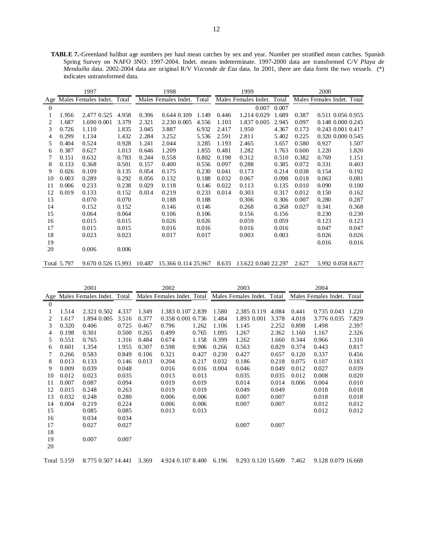**TABLE 7.-**Greenland halibut age numbers per haul mean catches by sex and year. Number per stratified mean catches. Spanish Spring Survey on NAFO 3NO: 1997-2004. Indet. means indeterminate. 1997-2000 data are transformed C/V *Playa de Menduíña* data. 2002-2004 data are original R/V *Vizconde de Eza* data. In 2001, there are data form the two vessels. (\*) indicates untransformed data.

|                |             | 1997                       |       |       | 1998                       |       |       | 1999                                                                    |       |       | 2000                       |                   |
|----------------|-------------|----------------------------|-------|-------|----------------------------|-------|-------|-------------------------------------------------------------------------|-------|-------|----------------------------|-------------------|
| Age            |             | Males Females Indet. Total |       |       | Males Females Indet. Total |       |       | Males Females Indet. Total                                              |       |       | Males Females Indet. Total |                   |
| $\overline{0}$ |             |                            |       |       |                            |       |       | 0.007                                                                   | 0.007 |       |                            |                   |
|                | 1.956       | 2.477 0.525                | 4.958 | 0.396 | 0.644 0.109                | 1.149 | 0.446 | 1.214 0.029                                                             | 1.689 | 0.387 |                            | 0.511 0.056 0.955 |
| 2              | 1.687       | 1.690 0.001                | 3.379 | 2.321 | 2.230 0.005                | 4.556 | 1.103 | 1.837 0.005                                                             | 2.945 | 0.097 |                            | 0.148 0.000 0.245 |
| 3              | 0.726       | 1.110                      | 1.835 | 3.045 | 3.887                      | 6.932 | 2.417 | 1.950                                                                   | 4.367 | 0.173 | 0.243 0.001 0.417          |                   |
| 4              | 0.299       | 1.134                      | 1.432 | 2.284 | 3.252                      | 5.536 | 2.591 | 2.811                                                                   | 5.402 | 0.225 |                            | 0.320 0.000 0.545 |
| 5              | 0.404       | 0.524                      | 0.928 | 1.241 | 2.044                      | 3.285 | 1.193 | 2.465                                                                   | 3.657 | 0.580 | 0.927                      | 1.507             |
| 6              | 0.387       | 0.627                      | 1.013 | 0.646 | 1.209                      | 1.855 | 0.481 | 1.282                                                                   | 1.763 | 0.600 | 1.220                      | 1.820             |
|                | 0.151       | 0.632                      | 0.783 | 0.244 | 0.558                      | 0.802 | 0.198 | 0.312                                                                   | 0.510 | 0.382 | 0.769                      | 1.151             |
| 8              | 0.133       | 0.368                      | 0.501 | 0.157 | 0.400                      | 0.556 | 0.097 | 0.288                                                                   | 0.385 | 0.072 | 0.331                      | 0.403             |
| 9              | 0.026       | 0.109                      | 0.135 | 0.054 | 0.175                      | 0.230 | 0.041 | 0.173                                                                   | 0.214 | 0.038 | 0.154                      | 0.192             |
| 10             | 0.003       | 0.289                      | 0.292 | 0.056 | 0.132                      | 0.188 | 0.032 | 0.067                                                                   | 0.098 | 0.018 | 0.063                      | 0.081             |
| 11             | 0.006       | 0.233                      | 0.238 | 0.029 | 0.118                      | 0.146 | 0.022 | 0.113                                                                   | 0.135 | 0.010 | 0.090                      | 0.100             |
| 12             | 0.019       | 0.133                      | 0.152 | 0.014 | 0.219                      | 0.233 | 0.014 | 0.303                                                                   | 0.317 | 0.012 | 0.150                      | 0.162             |
| 13             |             | 0.070                      | 0.070 |       | 0.188                      | 0.188 |       | 0.306                                                                   | 0.306 | 0.007 | 0.280                      | 0.287             |
| 14             |             | 0.152                      | 0.152 |       | 0.146                      | 0.146 |       | 0.268                                                                   | 0.268 | 0.027 | 0.341                      | 0.368             |
| 15             |             | 0.064                      | 0.064 |       | 0.106                      | 0.106 |       | 0.156                                                                   | 0.156 |       | 0.230                      | 0.230             |
| 16             |             | 0.015                      | 0.015 |       | 0.026                      | 0.026 |       | 0.059                                                                   | 0.059 |       | 0.123                      | 0.123             |
| 17             |             | 0.015                      | 0.015 |       | 0.016                      | 0.016 |       | 0.016                                                                   | 0.016 |       | 0.047                      | 0.047             |
| 18             |             | 0.023                      | 0.023 |       | 0.017                      | 0.017 |       | 0.003                                                                   | 0.003 |       | 0.026                      | 0.026             |
| 19             |             |                            |       |       |                            |       |       |                                                                         |       |       | 0.016                      | 0.016             |
| 20             |             | 0.006                      | 0.006 |       |                            |       |       |                                                                         |       |       |                            |                   |
|                | Total 5.797 |                            |       |       |                            |       |       | 9.670 0.526 15.993 10.487 15.366 0.114 25.967 8.635 13.622 0.040 22.297 |       | 2.627 | 5.992 0.058 8.677          |                   |

|                |             | 2001                           |       |       | 2002                       |       |       | 2003                       |       |       | 2004                       |       |
|----------------|-------------|--------------------------------|-------|-------|----------------------------|-------|-------|----------------------------|-------|-------|----------------------------|-------|
|                |             | Age Males Females Indet. Total |       |       | Males Females Indet. Total |       |       | Males Females Indet. Total |       |       | Males Females Indet. Total |       |
| $\overline{0}$ |             |                                |       |       |                            |       |       |                            |       |       |                            |       |
|                | 1.514       | 2.321 0.502                    | 4.337 | 1.349 | 1.383 0.107 2.839          |       | 1.580 | 2.385 0.119                | 4.084 | 0.441 | 0.735 0.043                | 1.220 |
| 2              | 1.617       | 1.894 0.005                    | 3.516 | 0.377 | 0.358 0.001 0.736          |       | 1.484 | 1.893 0.001                | 3.378 | 4.018 | 3.776 0.035                | 7.829 |
| 3              | 0.320       | 0.406                          | 0.725 | 0.467 | 0.796                      | 1.262 | 1.106 | 1.145                      | 2.252 | 0.898 | 1.498                      | 2.397 |
| 4              | 0.198       | 0.301                          | 0.500 | 0.265 | 0.499                      | 0.765 | 1.095 | 1.267                      | 2.362 | 1.160 | 1.167                      | 2.326 |
| 5              | 0.551       | 0.765                          | 1.316 | 0.484 | 0.674                      | 1.158 | 0.399 | 1.262                      | 1.660 | 0.344 | 0.966                      | 1.310 |
| 6              | 0.601       | 1.354                          | 1.955 | 0.307 | 0.598                      | 0.906 | 0.266 | 0.563                      | 0.829 | 0.374 | 0.443                      | 0.817 |
| 7              | 0.266       | 0.583                          | 0.849 | 0.106 | 0.321                      | 0.427 | 0.230 | 0.427                      | 0.657 | 0.120 | 0.337                      | 0.456 |
| 8              | 0.013       | 0.133                          | 0.146 | 0.013 | 0.204                      | 0.217 | 0.032 | 0.186                      | 0.218 | 0.075 | 0.107                      | 0.183 |
| 9              | 0.009       | 0.039                          | 0.048 |       | 0.016                      | 0.016 | 0.004 | 0.046                      | 0.049 | 0.012 | 0.027                      | 0.039 |
| 10             | 0.012       | 0.023                          | 0.035 |       | 0.013                      | 0.013 |       | 0.035                      | 0.035 | 0.012 | 0.008                      | 0.020 |
| 11             | 0.007       | 0.087                          | 0.094 |       | 0.019                      | 0.019 |       | 0.014                      | 0.014 | 0.006 | 0.004                      | 0.010 |
| 12             | 0.015       | 0.248                          | 0.263 |       | 0.019                      | 0.019 |       | 0.049                      | 0.049 |       | 0.018                      | 0.018 |
| 13             | 0.032       | 0.248                          | 0.280 |       | 0.006                      | 0.006 |       | 0.007                      | 0.007 |       | 0.018                      | 0.018 |
| 14             | 0.004       | 0.219                          | 0.224 |       | 0.006                      | 0.006 |       | 0.007                      | 0.007 |       | 0.012                      | 0.012 |
| 15             |             | 0.085                          | 0.085 |       | 0.013                      | 0.013 |       |                            |       |       | 0.012                      | 0.012 |
| 16             |             | 0.034                          | 0.034 |       |                            |       |       |                            |       |       |                            |       |
| 17             |             | 0.027                          | 0.027 |       |                            |       |       | 0.007                      | 0.007 |       |                            |       |
| 18             |             |                                |       |       |                            |       |       |                            |       |       |                            |       |
| 19             |             | 0.007                          | 0.007 |       |                            |       |       |                            |       |       |                            |       |
| 20             |             |                                |       |       |                            |       |       |                            |       |       |                            |       |
|                | Total 5.159 | 8.775 0.507 14.441             |       | 3.369 | 4.924 0.107 8.400          |       | 6.196 | 9.293 0.120 15.609         |       | 7.462 | 9.128 0.079 16.669         |       |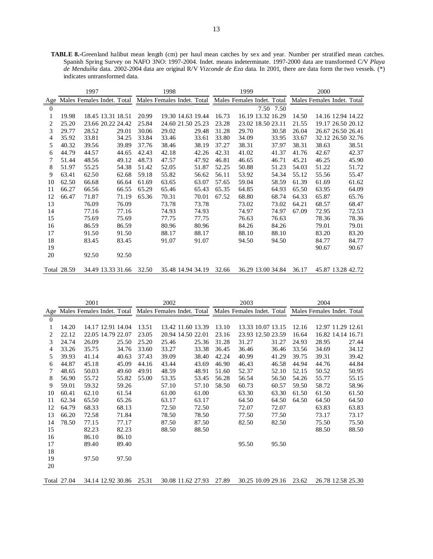**TABLE 8.-**Greenland halibut mean length (cm) per haul mean catches by sex and year. Number per stratified mean catches. Spanish Spring Survey on NAFO 3NO: 1997-2004. Indet. means indeterminate. 1997-2000 data are transformed C/V *Playa de Menduíña* data. 2002-2004 data are original R/V *Vizconde de Eza* data. In 2001, there are data form the two vessels. (\*) indicates untransformed data.

|                |             | 1997                                                  |       |       | 1998                    |       |       | 1999                       |           |       | 2000  |                            |
|----------------|-------------|-------------------------------------------------------|-------|-------|-------------------------|-------|-------|----------------------------|-----------|-------|-------|----------------------------|
| Age            |             | Males Females Indet. Total Males Females Indet. Total |       |       |                         |       |       | Males Females Indet. Total |           |       |       | Males Females Indet. Total |
| $\Omega$       |             |                                                       |       |       |                         |       |       |                            | 7.50 7.50 |       |       |                            |
| 1              | 19.98       | 18.45 13.31 18.51                                     |       | 20.99 | 19.30 14.63 19.44       |       | 16.73 | 16.19 13.32 16.29          |           | 14.50 |       | 14.16 12.94 14.22          |
| 2              | 25.20       | 23.66 20.22 24.42                                     |       | 25.84 | 24.60 21.50 25.23       |       | 23.28 | 23.02 18.50 23.11          |           | 21.55 |       | 19.17 26.50 20.12          |
| 3              | 29.77       | 28.52                                                 | 29.01 | 30.06 | 29.02                   | 29.48 | 31.28 | 29.70                      | 30.58     | 26.04 |       | 26.67 26.50 26.41          |
| $\overline{4}$ | 35.92       | 33.81                                                 | 34.25 | 33.84 | 33.46                   | 33.61 | 33.80 | 34.09                      | 33.95     | 33.67 |       | 32.12 26.50 32.76          |
| 5              | 40.32       | 39.56                                                 | 39.89 | 37.76 | 38.46                   | 38.19 | 37.27 | 38.31                      | 37.97     | 38.31 | 38.63 | 38.51                      |
| 6              | 44.79       | 44.57                                                 | 44.65 | 42.43 | 42.18                   | 42.26 | 42.31 | 41.02                      | 41.37     | 41.76 | 42.67 | 42.37                      |
| 7              | 51.44       | 48.56                                                 | 49.12 | 48.73 | 47.57                   | 47.92 | 46.81 | 46.65                      | 46.71     | 45.21 | 46.25 | 45.90                      |
| 8              | 51.97       | 55.25                                                 | 54.38 | 51.42 | 52.05                   | 51.87 | 52.25 | 50.88                      | 51.23     | 54.03 | 51.22 | 51.72                      |
| 9              | 63.41       | 62.50                                                 | 62.68 | 59.18 | 55.82                   | 56.62 | 56.11 | 53.92                      | 54.34     | 55.12 | 55.56 | 55.47                      |
| 10             | 62.50       | 66.68                                                 | 66.64 | 61.69 | 63.65                   | 63.07 | 57.65 | 59.04                      | 58.59     | 61.39 | 61.69 | 61.62                      |
| 11             | 66.27       | 66.56                                                 | 66.55 | 65.29 | 65.46                   | 65.43 | 65.35 | 64.85                      | 64.93     | 65.50 | 63.95 | 64.09                      |
| 12             | 66.47       | 71.87                                                 | 71.19 | 65.36 | 70.31                   | 70.01 | 67.52 | 68.80                      | 68.74     | 64.33 | 65.87 | 65.76                      |
| 13             |             | 76.09                                                 | 76.09 |       | 73.78                   | 73.78 |       | 73.02                      | 73.02     | 64.21 | 68.57 | 68.47                      |
| 14             |             | 77.16                                                 | 77.16 |       | 74.93                   | 74.93 |       | 74.97                      | 74.97     | 67.09 | 72.95 | 72.53                      |
| 15             |             | 75.69                                                 | 75.69 |       | 77.75                   | 77.75 |       | 76.63                      | 76.63     |       | 78.36 | 78.36                      |
| 16             |             | 86.59                                                 | 86.59 |       | 80.96                   | 80.96 |       | 84.26                      | 84.26     |       | 79.01 | 79.01                      |
| 17             |             | 91.50                                                 | 91.50 |       | 88.17                   | 88.17 |       | 88.10                      | 88.10     |       | 83.20 | 83.20                      |
| 18             |             | 83.45                                                 | 83.45 |       | 91.07                   | 91.07 |       | 94.50                      | 94.50     |       | 84.77 | 84.77                      |
| 19             |             |                                                       |       |       |                         |       |       |                            |           |       | 90.67 | 90.67                      |
| 20             |             | 92.50                                                 | 92.50 |       |                         |       |       |                            |           |       |       |                            |
|                | Total 28.59 | 34.49 13.33 31.66 32.50                               |       |       | 35.48 14.94 34.19 32.66 |       |       | 36.29 13.00 34.84 36.17    |           |       |       | 45.87 13.28 42.72          |

|                  |             | 2001                           |       |                            | 2002  |                   |       |       | 2003  |                            |       | 2004  |                            |
|------------------|-------------|--------------------------------|-------|----------------------------|-------|-------------------|-------|-------|-------|----------------------------|-------|-------|----------------------------|
|                  |             | Age Males Females Indet. Total |       | Males Females Indet. Total |       |                   |       |       |       | Males Females Indet. Total |       |       | Males Females Indet. Total |
| $\boldsymbol{0}$ |             |                                |       |                            |       |                   |       |       |       |                            |       |       |                            |
|                  | 14.20       | 14.17 12.91 14.04              |       | 13.51                      |       | 13.42 11.60 13.39 |       | 13.10 |       | 13.33 10.07 13.15          | 12.16 |       | 12.97 11.29 12.61          |
| 2                | 22.12       | 22.05 14.79 22.07              |       | 23.05                      |       | 20.94 14.50 22.01 |       | 23.16 |       | 23.93 12.50 23.59          | 16.64 |       | 16.82 14.14 16.71          |
| 3                | 24.74       | 26.09                          | 25.50 | 25.20                      | 25.46 |                   | 25.36 | 31.28 | 31.27 | 31.27                      | 24.93 | 28.95 | 27.44                      |
| 4                | 33.26       | 35.75                          | 34.76 | 33.60                      | 33.27 |                   | 33.38 | 36.45 | 36.46 | 36.46                      | 33.56 | 34.69 | 34.12                      |
| 5                | 39.93       | 41.14                          | 40.63 | 37.43                      | 39.09 |                   | 38.40 | 42.24 | 40.99 | 41.29                      | 39.75 | 39.31 | 39.42                      |
| 6                | 44.87       | 45.18                          | 45.09 | 44.16                      | 43.44 |                   | 43.69 | 46.90 | 46.43 | 46.58                      | 44.94 | 44.76 | 44.84                      |
| 7                | 48.65       | 50.03                          | 49.60 | 49.91                      | 48.59 |                   | 48.91 | 51.60 | 52.37 | 52.10                      | 52.15 | 50.52 | 50.95                      |
| 8                | 56.90       | 55.72                          | 55.82 | 55.00                      | 53.35 |                   | 53.45 | 56.28 | 56.54 | 56.50                      | 54.26 | 55.77 | 55.15                      |
| 9                | 59.01       | 59.32                          | 59.26 |                            | 57.10 |                   | 57.10 | 58.50 | 60.73 | 60.57                      | 59.50 | 58.72 | 58.96                      |
| 10               | 60.41       | 62.10                          | 61.54 |                            | 61.00 |                   | 61.00 |       | 63.30 | 63.30                      | 61.50 | 61.50 | 61.50                      |
| 11               | 62.34       | 65.50                          | 65.26 |                            | 63.17 |                   | 63.17 |       | 64.50 | 64.50                      | 64.50 | 64.50 | 64.50                      |
| 12               | 64.79       | 68.33                          | 68.13 |                            | 72.50 |                   | 72.50 |       | 72.07 | 72.07                      |       | 63.83 | 63.83                      |
| 13               | 66.20       | 72.58                          | 71.84 |                            | 78.50 |                   | 78.50 |       | 77.50 | 77.50                      |       | 73.17 | 73.17                      |
| 14               | 78.50       | 77.15                          | 77.17 |                            | 87.50 |                   | 87.50 |       | 82.50 | 82.50                      |       | 75.50 | 75.50                      |
| 15               |             | 82.23                          | 82.23 |                            | 88.50 |                   | 88.50 |       |       |                            |       | 88.50 | 88.50                      |
| 16               |             | 86.10                          | 86.10 |                            |       |                   |       |       |       |                            |       |       |                            |
| 17               |             | 89.40                          | 89.40 |                            |       |                   |       |       | 95.50 | 95.50                      |       |       |                            |
| 18               |             |                                |       |                            |       |                   |       |       |       |                            |       |       |                            |
| 19               |             | 97.50                          | 97.50 |                            |       |                   |       |       |       |                            |       |       |                            |
| 20               |             |                                |       |                            |       |                   |       |       |       |                            |       |       |                            |
|                  | Total 27.04 | 34.14 12.92 30.86              |       | 25.31                      |       | 30.08 11.62 27.93 |       | 27.89 |       | 30.25 10.09 29.16          | 23.62 |       | 26.78 12.58 25.30          |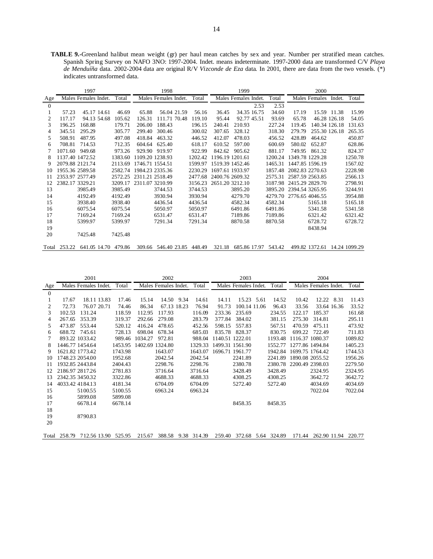**TABLE 9.-**Greenland halibut mean weight (gr) per haul mean catches by sex and year. Number per stratified mean catches. Spanish Spring Survey on NAFO 3NO: 1997-2004. Indet. means indeterminate. 1997-2000 data are transformed C/V *Playa de Menduíña* data. 2002-2004 data are original R/V *Vizconde de Eza* data. In 2001, there are data from the two vessels. (\*) indicates untransformed data.

|              | 1997            |                      |  |                     |                 | 1998                 |             |                            |                 | 1999                 |      |                     | 2000            |                              |               |         |
|--------------|-----------------|----------------------|--|---------------------|-----------------|----------------------|-------------|----------------------------|-----------------|----------------------|------|---------------------|-----------------|------------------------------|---------------|---------|
| Age          |                 | Males Females Indet. |  | Total               |                 | Males Females Indet. |             | Total                      |                 | Males Females Indet. |      | Total               |                 | Males Females                | Indet.        | Total   |
| $\mathbf{0}$ |                 |                      |  |                     |                 |                      |             |                            |                 |                      | 2.53 | 2.53                |                 |                              |               |         |
|              | 57.23           | 45.17 14.61          |  | 46.69               | 65.88           |                      | 56.04 21.59 | 56.16                      | 36.45           | 34.35 16.75          |      | 34.60               | 17.19           |                              | 15.59 11.38   | 15.99   |
| 2            | 117.17          | 94.13 54.68          |  | 105.62              | 126.31          | 111.71 70.48         |             | 119.10                     | 95.44           | 92.77 45.51          |      | 93.69               | 65.78           |                              | 46.28 126.18  | 54.05   |
| 3            | 196.25          | 168.88               |  | 179.71              | 206.00          | 188.43               |             | 196.15                     | 240.41          | 210.93               |      | 227.24              | 119.45          |                              | 140.34 126.18 | 131.63  |
| 4            | 345.51          | 295.29               |  | 305.77              | 299.40          | 300.46               |             | 300.02                     | 307.65          | 328.12               |      | 318.30              | 279.79          | 255.30 126.18                |               | 265.35  |
| 5            | 508.91          | 487.95               |  | 497.08              | 418.84          | 463.32               |             | 446.52                     | 412.07          | 478.03               |      | 456.52              | 428.89          | 464.62                       |               | 450.87  |
| 6            | 708.81          | 714.53               |  | 712.35              | 604.64          | 625.40               |             | 618.17                     | 610.52          | 597.00               |      | 600.69              | 580.02          | 652.87                       |               | 628.86  |
|              | 1071.60         | 949.68               |  | 973.26              |                 | 929.90 919.97        |             | 922.99                     | 842.62          | 905.62               |      | 881.17              | 749.95          | 861.32                       |               | 824.37  |
| 8            |                 | 1137.40 1472.52      |  | 1383.60             | 1109.20 1238.93 |                      |             | 1202.42                    | 1196.19 1201.61 |                      |      | 1200.24             | 1349.78 1229.28 |                              |               | 1250.78 |
| 9            |                 | 2079.88 2121.74      |  | 2113.69             | 1746.71 1554.51 |                      |             | 1599.97                    |                 | 1519.39 1452.46      |      | 1465.31             | 1447.85 1596.19 |                              |               | 1567.02 |
| 10           |                 | 1955.36 2589.58      |  | 2582.74             | 1984.23 2335.36 |                      |             | 2230.29                    | 1697.61 1933.97 |                      |      | 1857.48             | 2082.83 2270.63 |                              |               | 2228.98 |
| 11           |                 | 2353.97 2577.49      |  | 2572.25             | 2311.21 2518.49 |                      |             | 2477.68                    | 2400.76 2609.32 |                      |      | 2575.31             | 2587.59 2563.85 |                              |               | 2566.13 |
| 12           | 2382.17 3329.21 |                      |  | 3209.17             | 2311.07 3210.99 |                      |             | 3156.23                    |                 | 2651.20 3212.10      |      | 3187.98             | 2415.29 2829.70 |                              |               | 2798.91 |
| 13           |                 | 3985.49              |  | 3985.49             |                 | 3744.53              |             | 3744.53                    |                 | 3895.20              |      | 3895.20             | 2394.54 3265.95 |                              |               | 3244.91 |
| 14           |                 | 4192.49              |  | 4192.49             |                 | 3930.94              |             | 3930.94                    |                 | 4279.70              |      | 4279.70             | 2776.65 4046.55 |                              |               | 3954.88 |
| 15           |                 | 3938.40              |  | 3938.40             |                 | 4436.54              |             | 4436.54                    |                 | 4582.34              |      | 4582.34             |                 | 5165.18                      |               | 5165.18 |
| 16           |                 | 6075.54              |  | 6075.54             |                 | 5050.97              |             | 5050.97                    |                 | 6491.86              |      | 6491.86             |                 | 5341.58                      |               | 5341.58 |
| 17           |                 | 7169.24              |  | 7169.24             |                 | 6531.47              |             | 6531.47                    |                 | 7189.86              |      | 7189.86             |                 | 6321.42                      |               | 6321.42 |
| 18           |                 | 5399.97              |  | 5399.97             |                 | 7291.34              |             | 7291.34                    |                 | 8870.58              |      | 8870.58             |                 | 6728.72                      |               | 6728.72 |
| 19           |                 |                      |  |                     |                 |                      |             |                            |                 |                      |      |                     |                 | 8438.94                      |               |         |
| 20           |                 | 7425.48              |  | 7425.48             |                 |                      |             |                            |                 |                      |      |                     |                 |                              |               |         |
|              | Total 253.22    |                      |  | 641.05 14.70 479.86 |                 |                      |             | 309.66 546.40 23.85 448.49 | 321.18          |                      |      | 685.86 17.97 543.42 |                 | 499.82 1372.61 14.24 1099.29 |               |         |

|              |                      | 2001                             |         | 2002                 |                 |       |                      |                 | 2003            |                      |                    | 2004            |                            |  |         |
|--------------|----------------------|----------------------------------|---------|----------------------|-----------------|-------|----------------------|-----------------|-----------------|----------------------|--------------------|-----------------|----------------------------|--|---------|
| Age          | Males Females Indet. |                                  | Total   | Males Females Indet. |                 | Total | Males Females Indet. |                 | Total           | Males Females Indet. |                    |                 | Total                      |  |         |
| $\mathbf{0}$ |                      |                                  |         |                      |                 |       |                      |                 |                 |                      |                    |                 |                            |  |         |
| 1            | 17.67                | 18.11 13.83                      | 17.46   | 15.14                | 14.50 9.34      |       | 14.61                | 14.11           | 15.23 5.61      |                      | 14.52              | 10.42           | 12.22 8.31                 |  | 11.43   |
| 2            | 72.73                | 76.07 20.71                      | 74.46   | 86.34                | 67.13 18.23     |       | 76.94                | 91.73           | 100.14 11.06    |                      | 96.43              | 33.56           | 33.64 16.36                |  | 33.52   |
| 3            | 102.53               | 131.24                           | 118.59  | 112.95               | 117.93          |       | 116.09               | 233.36          | 235.69          |                      | 234.55             | 122.17          | 185.37                     |  | 161.68  |
| 4            | 267.65               | 353.39                           | 319.37  | 292.66               | 279.08          |       | 283.79               | 377.84          | 384.02          |                      | 381.15             | 275.30          | 314.81                     |  | 295.11  |
| 5            | 473.87               | 553.44                           | 520.12  | 416.24               | 478.65          |       | 452.56               | 598.15          | 557.83          |                      | 567.51             | 470.59          | 475.11                     |  | 473.92  |
| 6            | 688.72               | 745.61                           | 728.13  | 698.04               | 678.34          |       | 685.03               | 835.78          | 828.37          |                      | 830.75             | 699.22          | 722.49                     |  | 711.83  |
|              |                      | 893.22 1033.42                   | 989.46  | 1034.27              | 972.81          |       | 988.04               | 1140.51 1222.01 |                 |                      | 1193.48            | 1116.37 1080.37 |                            |  | 1089.82 |
| 8            |                      | 1446.77 1454.64                  | 1453.95 |                      | 1402.69 1324.80 |       | 1329.33              |                 | 1499.31 1561.90 |                      | 1552.77            |                 | 1277.86 1494.84            |  | 1405.23 |
| 9            |                      | 1621.82 1773.42                  | 1743.98 |                      | 1643.07         |       | 1643.07              | 1696.71 1961.77 |                 |                      | 1942.84            |                 | 1699.75 1764.42            |  | 1744.53 |
| 10           |                      | 1748.23 2054.00                  | 1952.68 |                      | 2042.54         |       | 2042.54              |                 | 2241.89         |                      | 2241.89            |                 | 1890.08 2055.52            |  | 1956.26 |
| 11           |                      | 1932.85 2443.84                  | 2404.43 |                      | 2298.76         |       | 2298.76              |                 | 2380.78         |                      | 2380.78            | 2200.49 2398.03 |                            |  | 2279.50 |
| 12           |                      | 2186.97 2817.26                  | 2781.83 |                      | 3716.64         |       | 3716.64              |                 | 3428.49         |                      | 3428.49            |                 | 2324.95                    |  | 2324.95 |
| 13           |                      | 2342.35 3450.32                  | 3322.86 |                      | 4688.33         |       | 4688.33              |                 | 4308.25         |                      | 4308.25            |                 | 3642.72                    |  | 3642.72 |
| 14           |                      | 4033.42 4184.13                  | 4181.34 |                      | 6704.09         |       | 6704.09              |                 | 5272.40         |                      | 5272.40            |                 | 4034.69                    |  | 4034.69 |
| 15           |                      | 5100.55                          | 5100.55 |                      | 6963.24         |       | 6963.24              |                 |                 |                      |                    |                 | 7022.04                    |  | 7022.04 |
| 16           |                      | 5899.08                          | 5899.08 |                      |                 |       |                      |                 |                 |                      |                    |                 |                            |  |         |
| 17           |                      | 6678.14                          | 6678.14 |                      |                 |       |                      |                 | 8458.35         |                      | 8458.35            |                 |                            |  |         |
| 18           |                      |                                  |         |                      |                 |       |                      |                 |                 |                      |                    |                 |                            |  |         |
| 19           |                      | 8790.83                          |         |                      |                 |       |                      |                 |                 |                      |                    |                 |                            |  |         |
| 20           |                      |                                  |         |                      |                 |       |                      |                 |                 |                      |                    |                 |                            |  |         |
|              |                      | Total 258.79 712.56 13.90 525.95 |         | 215.67               |                 |       | 388.58 9.38 314.39   | 259.40          |                 |                      | 372.68 5.64 324.89 |                 | 171.44 262.90 11.94 220.77 |  |         |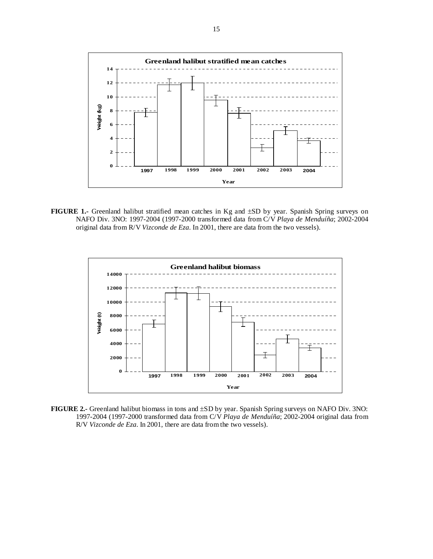

**FIGURE 1.-** Greenland halibut stratified mean catches in Kg and ±SD by year. Spanish Spring surveys on NAFO Div. 3NO: 1997-2004 (1997-2000 transformed data from C/V *Playa de Menduíña*; 2002-2004 original data from R/V *Vizconde de Eza*. In 2001, there are data from the two vessels).



**FIGURE 2.-** Greenland halibut biomass in tons and ±SD by year. Spanish Spring surveys on NAFO Div. 3NO: 1997-2004 (1997-2000 transformed data from C/V *Playa de Menduíña*; 2002-2004 original data from R/V *Vizconde de Eza*. In 2001, there are data from the two vessels).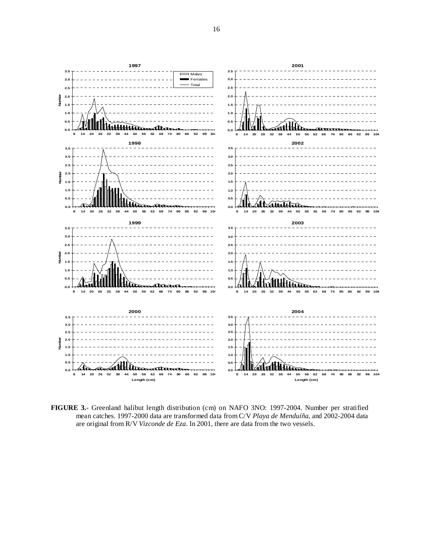

**FIGURE 3.-** Greenland halibut length distribution (cm) on NAFO 3NO: 1997-2004. Number per stratified mean catches. 1997-2000 data are transformed data from C/V *Playa de Menduíña*, and 2002-2004 data are original from R/V *Vizconde de Eza*. In 2001, there are data from the two vessels.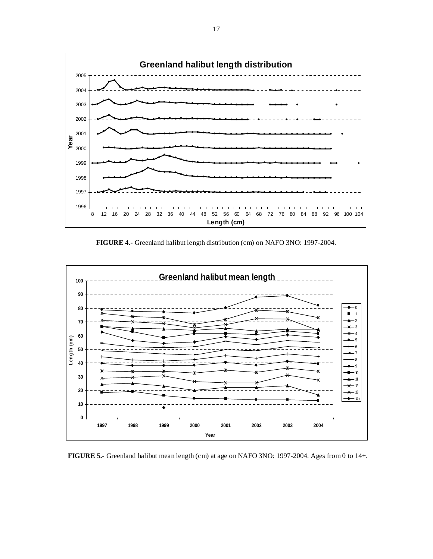

**FIGURE 4.-** Greenland halibut length distribution (cm) on NAFO 3NO: 1997-2004.



**FIGURE 5.-** Greenland halibut mean length (cm) at age on NAFO 3NO: 1997-2004. Ages from 0 to 14+.